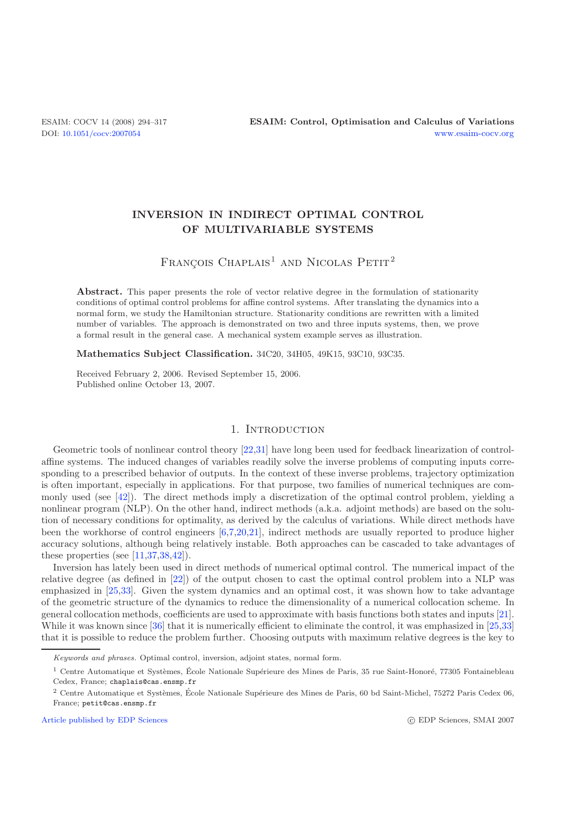# **INVERSION IN INDIRECT OPTIMAL CONTROL OF MULTIVARIABLE SYSTEMS**

# FRANÇOIS CHAPLAIS<sup>1</sup> AND NICOLAS PETIT<sup>2</sup>

Abstract. This paper presents the role of vector relative degree in the formulation of stationarity conditions of optimal control problems for affine control systems. After translating the dynamics into a normal form, we study the Hamiltonian structure. Stationarity conditions are rewritten with a limited number of variables. The approach is demonstrated on two and three inputs systems, then, we prove a formal result in the general case. A mechanical system example serves as illustration.

**Mathematics Subject Classification.** 34C20, 34H05, 49K15, 93C10, 93C35.

Received February 2, 2006. Revised September 15, 2006. Published online October 13, 2007.

## 1. INTRODUCTION

Geometric tools of nonlinear control theory [\[22](#page-23-0)[,31\]](#page-23-1) have long been used for feedback linearization of controlaffine systems. The induced changes of variables readily solve the inverse problems of computing inputs corresponding to a prescribed behavior of outputs. In the context of these inverse problems, trajectory optimization is often important, especially in applications. For that purpose, two families of numerical techniques are commonly used (see [\[42\]](#page-23-2)). The direct methods imply a discretization of the optimal control problem, yielding a nonlinear program (NLP). On the other hand, indirect methods (a.k.a. adjoint methods) are based on the solution of necessary conditions for optimality, as derived by the calculus of variations. While direct methods have been the workhorse of control engineers [\[6](#page-22-0)[,7](#page-22-1)[,20](#page-23-3)[,21\]](#page-23-4), indirect methods are usually reported to produce higher accuracy solutions, although being relatively instable. Both approaches can be cascaded to take advantages of these properties (see [\[11](#page-22-2)[,37](#page-23-5)[,38](#page-23-6)[,42\]](#page-23-2)).

Inversion has lately been used in direct methods of numerical optimal control. The numerical impact of the relative degree (as defined in [\[22](#page-23-0)]) of the output chosen to cast the optimal control problem into a NLP was emphasized in [\[25](#page-23-7)[,33](#page-23-8)]. Given the system dynamics and an optimal cost, it was shown how to take advantage of the geometric structure of the dynamics to reduce the dimensionality of a numerical collocation scheme. In general collocation methods, coefficients are used to approximate with basis functions both states and inputs [\[21\]](#page-23-4). While it was known since [\[36](#page-23-9)] that it is numerically efficient to eliminate the control, it was emphasized in [\[25](#page-23-7)[,33](#page-23-8)] that it is possible to reduce the problem further. Choosing outputs with maximum relative degrees is the key to

[Article published by EDP Sciences](http://www.edpsciences.org) c EDP Sciences c EDP Sciences, SMAI 2007

Keywords and phrases. Optimal control, inversion, adjoint states, normal form.

 $1$  Centre Automatique et Systèmes, École Nationale Supérieure des Mines de Paris, 35 rue Saint-Honoré, 77305 Fontainebleau Cedex, France; chaplais@cas.ensmp.fr

 $2$  Centre Automatique et Systèmes, École Nationale Supérieure des Mines de Paris, 60 bd Saint-Michel, 75272 Paris Cedex 06, France; petit@cas.ensmp.fr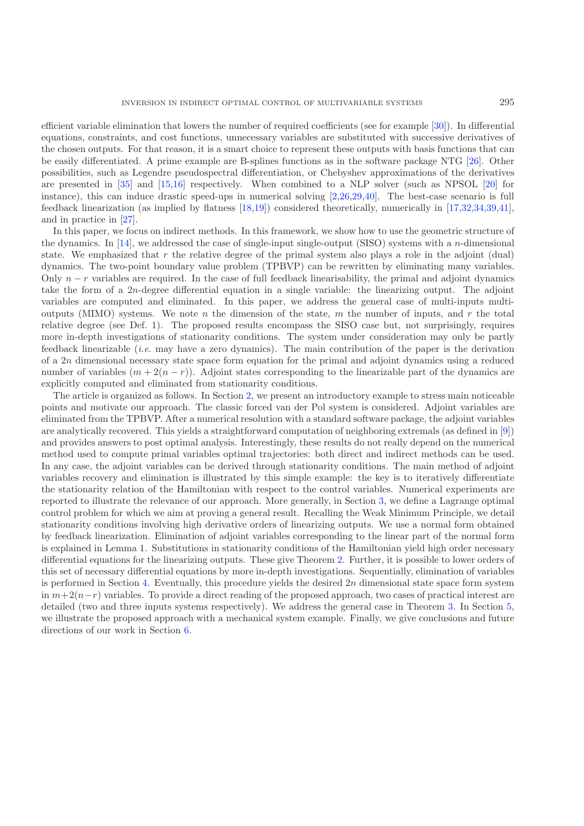efficient variable elimination that lowers the number of required coefficients (see for example [\[30](#page-23-10)]). In differential equations, constraints, and cost functions, unnecessary variables are substituted with successive derivatives of the chosen outputs. For that reason, it is a smart choice to represent these outputs with basis functions that can be easily differentiated. A prime example are B-splines functions as in the software package NTG [\[26\]](#page-23-11). Other possibilities, such as Legendre pseudospectral differentiation, or Chebyshev approximations of the derivatives are presented in [\[35](#page-23-12)] and [\[15](#page-22-3)[,16](#page-22-4)] respectively. When combined to a NLP solver (such as NPSOL [\[20\]](#page-23-3) for instance), this can induce drastic speed-ups in numerical solving [\[2](#page-22-5)[,26](#page-23-11)[,29](#page-23-13)[,40\]](#page-23-14). The best-case scenario is full feedback linearization (as implied by flatness [\[18](#page-22-6)[,19](#page-22-7)]) considered theoretically, numerically in [\[17](#page-22-8)[,32](#page-23-15)[,34](#page-23-16)[,39](#page-23-17)[,41\]](#page-23-18), and in practice in [\[27](#page-23-19)].

In this paper, we focus on indirect methods. In this framework, we show how to use the geometric structure of the dynamics. In [\[14\]](#page-22-9), we addressed the case of single-input single-output (SISO) systems with a n-dimensional state. We emphasized that r the relative degree of the primal system also plays a role in the adjoint (dual) dynamics. The two-point boundary value problem (TPBVP) can be rewritten by eliminating many variables. Only  $n - r$  variables are required. In the case of full feedback linearisability, the primal and adjoint dynamics take the form of a 2n-degree differential equation in a single variable: the linearizing output. The adjoint variables are computed and eliminated. In this paper, we address the general case of multi-inputs multioutputs (MIMO) systems. We note n the dimension of the state, m the number of inputs, and r the total relative degree (see Def. 1). The proposed results encompass the SISO case but, not surprisingly, requires more in-depth investigations of stationarity conditions. The system under consideration may only be partly feedback linearizable (*i.e.* may have a zero dynamics). The main contribution of the paper is the derivation of a 2n dimensional necessary state space form equation for the primal and adjoint dynamics using a reduced number of variables  $(m + 2(n - r))$ . Adjoint states corresponding to the linearizable part of the dynamics are explicitly computed and eliminated from stationarity conditions.

The article is organized as follows. In Section [2,](#page-2-0) we present an introductory example to stress main noticeable points and motivate our approach. The classic forced van der Pol system is considered. Adjoint variables are eliminated from the TPBVP. After a numerical resolution with a standard software package, the adjoint variables are analytically recovered. This yields a straightforward computation of neighboring extremals (as defined in [\[9](#page-22-10)]) and provides answers to post optimal analysis. Interestingly, these results do not really depend on the numerical method used to compute primal variables optimal trajectories: both direct and indirect methods can be used. In any case, the adjoint variables can be derived through stationarity conditions. The main method of adjoint variables recovery and elimination is illustrated by this simple example: the key is to iteratively differentiate the stationarity relation of the Hamiltonian with respect to the control variables. Numerical experiments are reported to illustrate the relevance of our approach. More generally, in Section [3,](#page-8-0) we define a Lagrange optimal control problem for which we aim at proving a general result. Recalling the Weak Minimum Principle, we detail stationarity conditions involving high derivative orders of linearizing outputs. We use a normal form obtained by feedback linearization. Elimination of adjoint variables corresponding to the linear part of the normal form is explained in Lemma 1. Substitutions in stationarity conditions of the Hamiltonian yield high order necessary differential equations for the linearizing outputs. These give Theorem [2.](#page-11-0) Further, it is possible to lower orders of this set of necessary differential equations by more in-depth investigations. Sequentially, elimination of variables is performed in Section [4.](#page-13-0) Eventually, this procedure yields the desired 2n dimensional state space form system in  $m+2(n-r)$  variables. To provide a direct reading of the proposed approach, two cases of practical interest are detailed (two and three inputs systems respectively). We address the general case in Theorem [3.](#page-17-0) In Section [5,](#page-20-0) we illustrate the proposed approach with a mechanical system example. Finally, we give conclusions and future directions of our work in Section [6.](#page-22-11)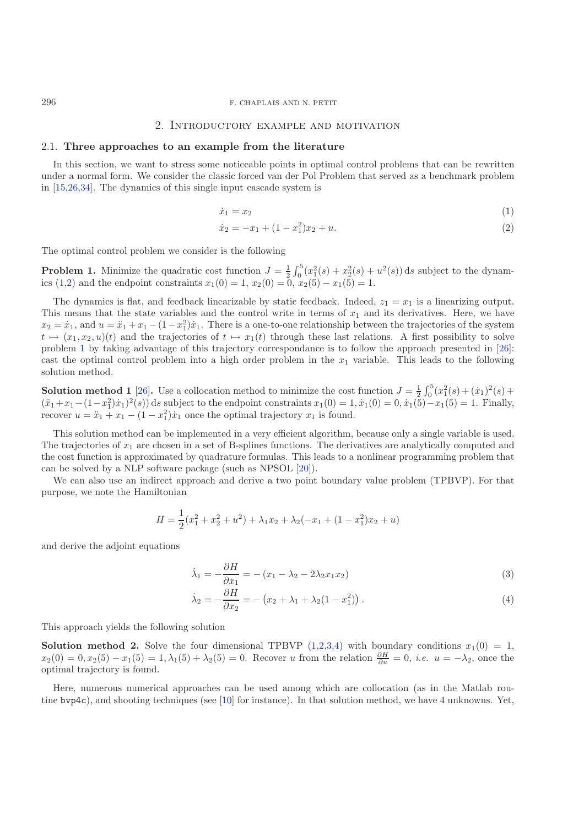#### 2. Introductory example and motivation

## <span id="page-2-0"></span>2.1. **Three approaches to an example from the literature**

In this section, we want to stress some noticeable points in optimal control problems that can be rewritten under a normal form. We consider the classic forced van der Pol Problem that served as a benchmark problem in [\[15](#page-22-3)[,26](#page-23-11)[,34\]](#page-23-16). The dynamics of this single input cascade system is

<span id="page-2-2"></span><span id="page-2-1"></span>
$$
\dot{x}_1 = x_2 \tag{1}
$$

$$
\dot{x}_2 = -x_1 + (1 - x_1^2)x_2 + u. \tag{2}
$$

<span id="page-2-3"></span>The optimal control problem we consider is the following

**Problem 1.** Minimize the quadratic cost function  $J = \frac{1}{2} \int_0^5 (x_1^2(s) + x_2^2(s) + u^2(s)) ds$  subject to the dynam-ics [\(1](#page-2-1)[,2\)](#page-2-2) and the endpoint constraints  $x_1(0) = 1$ ,  $x_2(0) = 0$ ,  $x_2(5) - x_1(5) = 1$ .

The dynamics is flat, and feedback linearizable by static feedback. Indeed,  $z_1 = x_1$  is a linearizing output. This means that the state variables and the control write in terms of  $x_1$  and its derivatives. Here, we have  $x_2 = \dot{x}_1$ , and  $u = \ddot{x}_1 + x_1 - (1 - x_1^2)\dot{x}_1$ . There is a one-to-one relationship between the trajectories of the system  $t \mapsto (x, x_2, y)(t)$  and the trajectories of  $t \mapsto x_1(t)$  through these last relations. A first possibil  $t \mapsto (x_1, x_2, u)(t)$  $t \mapsto (x_1, x_2, u)(t)$  $t \mapsto (x_1, x_2, u)(t)$  $t \mapsto (x_1, x_2, u)(t)$  $t \mapsto (x_1, x_2, u)(t)$  and the trajectories of  $t \mapsto x_1(t)$  through these last relations. A first possibility to solve problem 1 by taking advantage of this trajectory correspondance is to follow the approach presented in [\[26\]](#page-23-11): cast the optimal control problem into a high order problem in the  $x_1$  variable. This leads to the following solution method.

<span id="page-2-6"></span>**Solution method 1** [\[26](#page-23-11)]. Use a collocation method to minimize the cost function  $J = \frac{1}{2} \int_0^5 (x_1^2(s) + (\dot{x}_1)^2(s) + (\ddot{x}_1 - x_2)(\dot{x}_1)^2(s)) ds$  explicit to the endpoint constraints  $x_1(0) = 1, \dot{x}_1(0) = 0, \dot{x}_1(5) = 1$ . Finally  $(\ddot{x}_1 + x_1 - (1 - x_1^2)\dot{x}_1)^2(s)$  ds subject to the endpoint constraints  $x_1(0) = 1, \dot{x}_1(0) = 0, \dot{x}_1(5) - x_1(5) = 1$ . Finally, recover  $u = \ddot{x}_1 + x_1 - (1 - x_1^2)\dot{x}_1$  once the optimal trajectory  $x_1$  is found.

This solution method can be implemented in a very efficient algorithm, because only a single variable is used. The trajectories of  $x_1$  are chosen in a set of B-splines functions. The derivatives are analytically computed and the cost function is approximated by quadrature formulas. This leads to a nonlinear programming problem that can be solved by a NLP software package (such as NPSOL [\[20\]](#page-23-3)).

We can also use an indirect approach and derive a two point boundary value problem (TPBVP). For that purpose, we note the Hamiltonian

$$
H = \frac{1}{2}(x_1^2 + x_2^2 + u^2) + \lambda_1 x_2 + \lambda_2 (-x_1 + (1 - x_1^2)x_2 + u)
$$

and derive the adjoint equations

<span id="page-2-5"></span><span id="page-2-4"></span>
$$
\dot{\lambda}_1 = -\frac{\partial H}{\partial x_1} = -(x_1 - \lambda_2 - 2\lambda_2 x_1 x_2) \tag{3}
$$

$$
\dot{\lambda}_2 = -\frac{\partial H}{\partial x_2} = -\left(x_2 + \lambda_1 + \lambda_2(1 - x_1^2)\right). \tag{4}
$$

<span id="page-2-7"></span>This approach yields the following solution

**Solution method 2.** Solve the four dimensional TPBVP  $(1,2,3,4)$  $(1,2,3,4)$  $(1,2,3,4)$  $(1,2,3,4)$  with boundary conditions  $x_1(0) = 1$ ,<br> $x_2(0) = 0$ ,  $x_2(5) = x_1(5) = 1$ ,  $(5) + \lambda_2(5) = 0$ . Because u from the relation  $\frac{\partial H}{\partial t} = 0$ , i.e.,  $y = -\lambda_2$  and t  $x_2(0) = 0, x_2(5) - x_1(5) = 1, \lambda_1(5) + \lambda_2(5) = 0.$  Recover u from the relation  $\frac{\partial H}{\partial u} = 0$ , *i.e.*  $u = -\lambda_2$ , once the optimal trajectory is found optimal trajectory is found.

Here, numerous numerical approaches can be used among which are collocation (as in the Matlab routine bvp4c), and shooting techniques (see [\[10](#page-22-12)] for instance). In that solution method, we have 4 unknowns. Yet,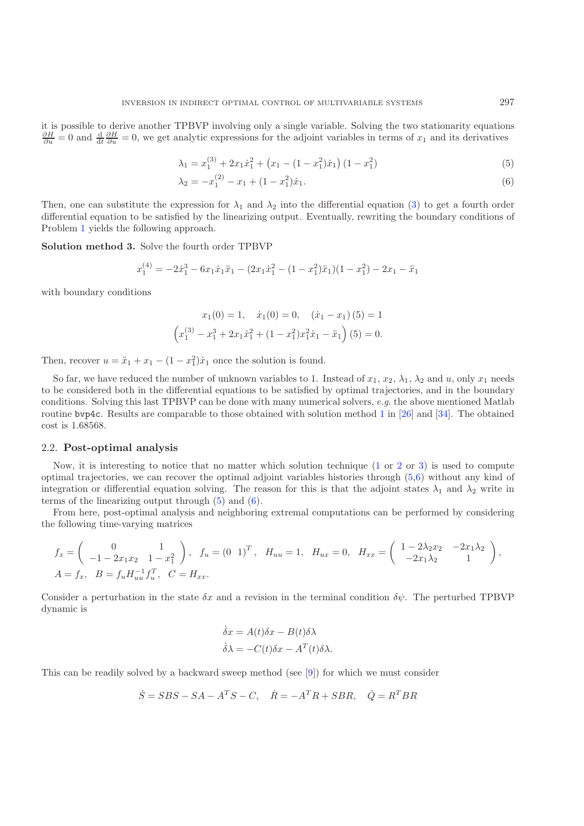it is possible to derive another TPBVP involving only a single variable. Solving the two stationarity equations  $\frac{\partial H}{\partial u} = 0$  and  $\frac{d}{dt} \frac{\partial H}{\partial u} = 0$ , we get analytic expressions for the adjoint variables in terms of  $x_1$  and its derivatives

<span id="page-3-2"></span><span id="page-3-1"></span>
$$
\lambda_1 = x_1^{(3)} + 2x_1\dot{x}_1^2 + \left(x_1 - (1 - x_1^2)\dot{x}_1\right)(1 - x_1^2) \tag{5}
$$

$$
\lambda_2 = -x_1^{(2)} - x_1 + (1 - x_1^2)\dot{x}_1.
$$
\n(6)

Then, one can substitute the expression for  $\lambda_1$  and  $\lambda_2$  into the differential equation [\(3\)](#page-2-4) to get a fourth order differential equation to be satisfied by the linearizing output. Eventually, rewriting the boundary conditions of Problem [1](#page-2-3) yields the following approach.

<span id="page-3-0"></span>**Solution method 3.** Solve the fourth order TPBVP

$$
x_1^{(4)} = -2\dot{x}_1^3 - 6x_1\dot{x}_1\ddot{x}_1 - (2x_1\dot{x}_1^2 - (1-x_1^2)\ddot{x}_1)(1-x_1^2) - 2x_1 - \ddot{x}_1
$$

with boundary conditions

$$
x_1(0) = 1, \quad \dot{x}_1(0) = 0, \quad (\dot{x}_1 - x_1)(5) = 1
$$

$$
\left(x_1^{(3)} - x_1^3 + 2x_1\dot{x}_1^2 + (1 - x_1^2)x_1^2\dot{x}_1 - \ddot{x}_1\right)(5) = 0.
$$

Then, recover  $u = \ddot{x}_1 + x_1 - (1 - x_1^2)\dot{x}_1$  once the solution is found.

So far, we have reduced the number of unknown variables to 1. Instead of  $x_1, x_2, \lambda_1, \lambda_2$  and u, only  $x_1$  needs to be considered both in the differential equations to be satisfied by optimal trajectories, and in the boundary conditions. Solving this last TPBVP can be done with many numerical solvers, *e.g*. the above mentioned Matlab routine bvp4c. Results are comparable to those obtained with solution method [1](#page-2-6) in [\[26\]](#page-23-11) and [\[34](#page-23-16)]. The obtained cost is 1.68568.

## 2.2. **Post-optimal analysis**

Now, it is interesting to notice that no matter which solution technique  $(1 \text{ or } 2 \text{ or } 3)$  $(1 \text{ or } 2 \text{ or } 3)$  $(1 \text{ or } 2 \text{ or } 3)$  $(1 \text{ or } 2 \text{ or } 3)$  $(1 \text{ or } 2 \text{ or } 3)$  is used to compute optimal trajectories, we can recover the optimal adjoint variables histories through [\(5,](#page-3-1)[6\)](#page-3-2) without any kind of integration or differential equation solving. The reason for this is that the adjoint states  $\lambda_1$  and  $\lambda_2$  write in terms of the linearizing output through [\(5\)](#page-3-1) and [\(6\)](#page-3-2).

From here, post-optimal analysis and neighboring extremal computations can be performed by considering the following time-varying matrices

$$
f_x = \begin{pmatrix} 0 & 1 \\ -1 - 2x_1x_2 & 1 - x_1^2 \end{pmatrix}, f_u = \begin{pmatrix} 0 & 1 \end{pmatrix}^T, H_{uu} = 1, H_{ux} = 0, H_{xx} = \begin{pmatrix} 1 - 2\lambda_2x_2 & -2x_1\lambda_2 \\ -2x_1\lambda_2 & 1 \end{pmatrix},
$$
  

$$
A = f_x, B = f_u H_{uu}^{-1} f_u^T, C = H_{xx}.
$$

Consider a perturbation in the state  $\delta x$  and a revision in the terminal condition  $\delta \psi$ . The perturbed TPBVP dynamic is

$$
\dot{\delta}x = A(t)\delta x - B(t)\delta\lambda
$$

$$
\dot{\delta}\lambda = -C(t)\delta x - A^{T}(t)\delta\lambda.
$$

This can be readily solved by a backward sweep method (see [\[9\]](#page-22-10)) for which we must consider

$$
\dot{S} = SBS - SA - ATS - C, \quad \dot{R} = -ATR + SBR, \quad \dot{Q} = RTBR
$$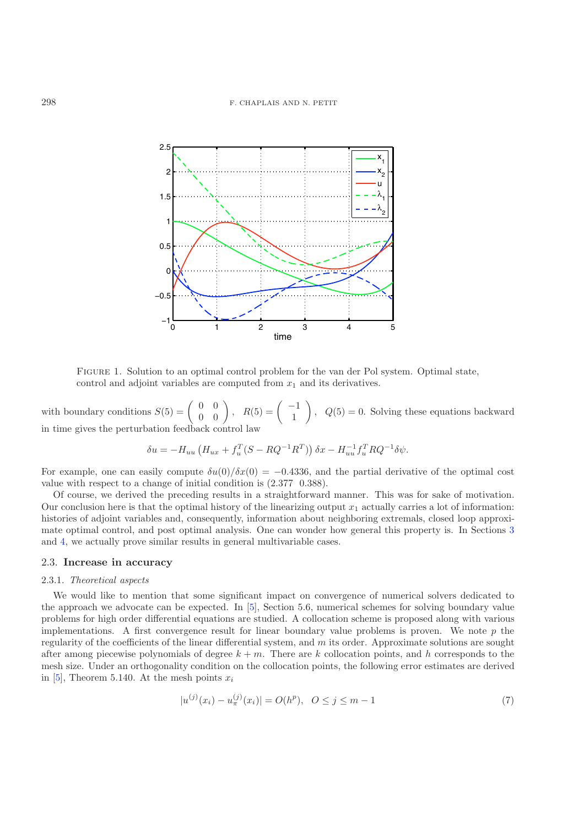

Figure 1. Solution to an optimal control problem for the van der Pol system. Optimal state, control and adjoint variables are computed from  $x_1$  and its derivatives.

with boundary conditions  $S(5) = \begin{pmatrix} 0 & 0 \\ 0 & 0 \end{pmatrix}$ ,  $R(5) = \begin{pmatrix} -1 \\ 1 \end{pmatrix}$  $\Big), Q(5) = 0.$  Solving these equations backward in time gives the perturbation feedback control law

$$
\delta u = -H_{uu} \left( H_{ux} + f_u^T (S - RQ^{-1} R^T) \right) \delta x - H_{uu}^{-1} f_u^T R Q^{-1} \delta \psi.
$$

For example, one can easily compute  $\delta u(0)/\delta x(0) = -0.4336$ , and the partial derivative of the optimal cost value with respect to a change of initial condition is (2.377 0.388).

Of course, we derived the preceding results in a straightforward manner. This was for sake of motivation. Our conclusion here is that the optimal history of the linearizing output  $x_1$  actually carries a lot of information: histories of adjoint variables and, consequently, information about neighboring extremals, closed loop approximate optimal control, and post optimal analysis. One can wonder how general this property is. In Sections [3](#page-8-0) and [4,](#page-13-0) we actually prove similar results in general multivariable cases.

# <span id="page-4-0"></span>2.3. **Increase in accuracy**

#### 2.3.1. *Theoretical aspects*

We would like to mention that some significant impact on convergence of numerical solvers dedicated to the approach we advocate can be expected. In [\[5](#page-22-13)], Section 5.6, numerical schemes for solving boundary value problems for high order differential equations are studied. A collocation scheme is proposed along with various implementations. A first convergence result for linear boundary value problems is proven. We note  $p$  the regularity of the coefficients of the linear differential system, and m its order. Approximate solutions are sought after among piecewise polynomials of degree  $k + m$ . There are k collocation points, and h corresponds to the mesh size. Under an orthogonality condition on the collocation points, the following error estimates are derived in [\[5\]](#page-22-13), Theorem 5.140. At the mesh points  $x_i$ 

$$
|u^{(j)}(x_i) - u^{(j)}_{\pi}(x_i)| = O(h^p), \quad 0 \le j \le m - 1
$$
\n(7)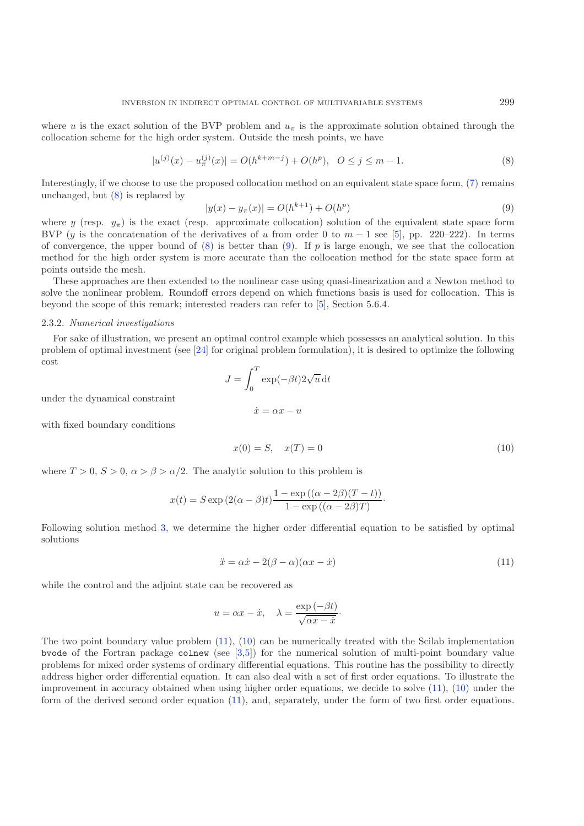<span id="page-5-0"></span>where u is the exact solution of the BVP problem and  $u_{\pi}$  is the approximate solution obtained through the collocation scheme for the high order system. Outside the mesh points, we have

<span id="page-5-1"></span>
$$
|u^{(j)}(x) - u^{(j)}_{\pi}(x)| = O(h^{k+m-j}) + O(h^p), \quad 0 \le j \le m-1.
$$
 (8)

Interestingly, if we choose to use the proposed collocation method on an equivalent state space form, [\(7\)](#page-4-0) remains unchanged, but  $(8)$  is replaced by

$$
|y(x) - y_{\pi}(x)| = O(h^{k+1}) + O(h^p)
$$
\n(9)

where y (resp.  $y_{\pi}$ ) is the exact (resp. approximate collocation) solution of the equivalent state space form<br>BVP (*u* is the concetenation of the derivatives of *u* from order 0 to  $m = 1$  see [5], pp. 220–222). In ter BVP (y is the concatenation of the derivatives of u from order 0 to  $m-1$  see [\[5\]](#page-22-13), pp. 220–222). In terms of convergence, the upper bound of  $(8)$  is better than  $(9)$ . If p is large enough, we see that the collocation method for the high order system is more accurate than the collocation method for the state space form at points outside the mesh.

These approaches are then extended to the nonlinear case using quasi-linearization and a Newton method to solve the nonlinear problem. Roundoff errors depend on which functions basis is used for collocation. This is beyond the scope of this remark; interested readers can refer to [\[5\]](#page-22-13), Section 5.6.4.

#### <span id="page-5-4"></span>2.3.2. *Numerical investigations*

For sake of illustration, we present an optimal control example which possesses an analytical solution. In this problem of optimal investment (see [\[24\]](#page-23-20) for original problem formulation), it is desired to optimize the following cost

<span id="page-5-3"></span>
$$
J = \int_0^T \exp(-\beta t) 2\sqrt{u} dt
$$

$$
\dot{x} = \alpha x - u
$$

under the dynamical constraint

with fixed boundary conditions

<span id="page-5-2"></span>
$$
x(0) = S, \quad x(T) = 0 \tag{10}
$$

where  $T > 0$ ,  $S > 0$ ,  $\alpha > \beta > \alpha/2$ . The analytic solution to this problem is

$$
x(t) = S \exp (2(\alpha - \beta)t) \frac{1 - \exp ((\alpha - 2\beta)(T - t))}{1 - \exp ((\alpha - 2\beta)T)}.
$$

Following solution method [3,](#page-3-0) we determine the higher order differential equation to be satisfied by optimal solutions

$$
\ddot{x} = \alpha \dot{x} - 2(\beta - \alpha)(\alpha x - \dot{x})\tag{11}
$$

while the control and the adjoint state can be recovered as

$$
u = \alpha x - \dot{x}, \quad \lambda = \frac{\exp(-\beta t)}{\sqrt{\alpha x - \dot{x}}}.
$$

The two point boundary value problem [\(11\)](#page-5-2), [\(10\)](#page-5-3) can be numerically treated with the Scilab implementation bvode of the Fortran package colnew (see [\[3](#page-22-14)[,5\]](#page-22-13)) for the numerical solution of multi-point boundary value problems for mixed order systems of ordinary differential equations. This routine has the possibility to directly address higher order differential equation. It can also deal with a set of first order equations. To illustrate the improvement in accuracy obtained when using higher order equations, we decide to solve [\(11\)](#page-5-2), [\(10\)](#page-5-3) under the form of the derived second order equation [\(11\)](#page-5-2), and, separately, under the form of two first order equations.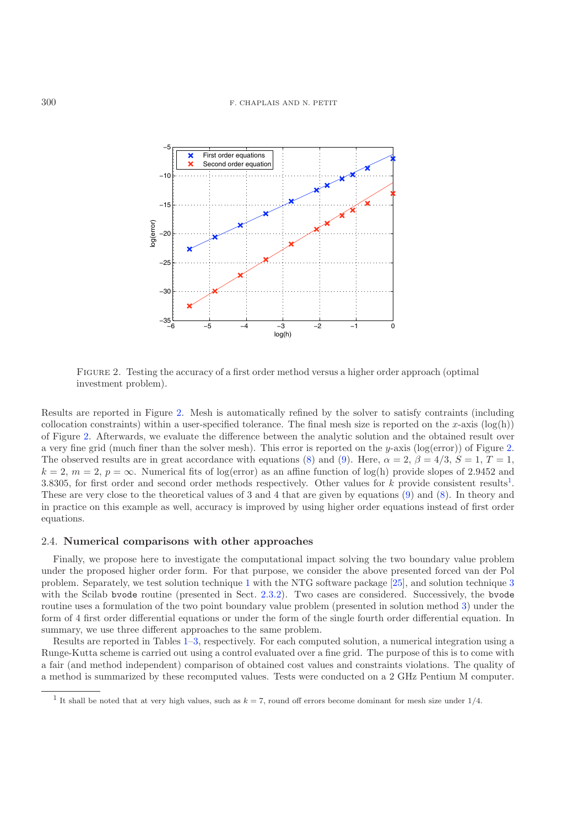<span id="page-6-0"></span>

Figure 2. Testing the accuracy of a first order method versus a higher order approach (optimal investment problem).

Results are reported in Figure [2.](#page-6-0) Mesh is automatically refined by the solver to satisfy contraints (including collocation constraints) within a user-specified tolerance. The final mesh size is reported on the x-axis  $(log(h))$ of Figure [2.](#page-6-0) Afterwards, we evaluate the difference between the analytic solution and the obtained result over a very fine grid (much finer than the solver mesh). This error is reported on the y-axis (log(error)) of Figure [2.](#page-6-0) The observed results are in great accordance with equations [\(8\)](#page-5-0) and [\(9\)](#page-5-1). Here,  $\alpha = 2$ ,  $\beta = 4/3$ ,  $S = 1$ ,  $T = 1$ ,  $k = 2, m = 2, p = \infty$ . Numerical fits of log(error) as an affine function of log(h) provide slopes of 2.9452 and 3.8305, for first order and second order methods respectively. Other values for k provide consistent results<sup>[1](#page-6-1)</sup>. These are very close to the theoretical values of 3 and 4 that are given by equations [\(9\)](#page-5-1) and [\(8\)](#page-5-0). In theory and in practice on this example as well, accuracy is improved by using higher order equations instead of first order equations.

## 2.4. **Numerical comparisons with other approaches**

<span id="page-6-1"></span>Finally, we propose here to investigate the computational impact solving the two boundary value problem under the proposed higher order form. For that purpose, we consider the above presented forced van der Pol problem. Separately, we test solution technique [1](#page-2-6) with the NTG software package [\[25](#page-23-7)], and solution technique [3](#page-3-0) with the Scilab bvode routine (presented in Sect. [2.3.2\)](#page-5-4). Two cases are considered. Successively, the bvode routine uses a formulation of the two point boundary value problem (presented in solution method [3\)](#page-3-0) under the form of 4 first order differential equations or under the form of the single fourth order differential equation. In summary, we use three different approaches to the same problem.

Results are reported in Tables [1–](#page-7-0)[3,](#page-7-1) respectively. For each computed solution, a numerical integration using a Runge-Kutta scheme is carried out using a control evaluated over a fine grid. The purpose of this is to come with a fair (and method independent) comparison of obtained cost values and constraints violations. The quality of a method is summarized by these recomputed values. Tests were conducted on a 2 GHz Pentium M computer.

<sup>&</sup>lt;sup>1</sup> It shall be noted that at very high values, such as  $k = 7$ , round off errors become dominant for mesh size under  $1/4$ .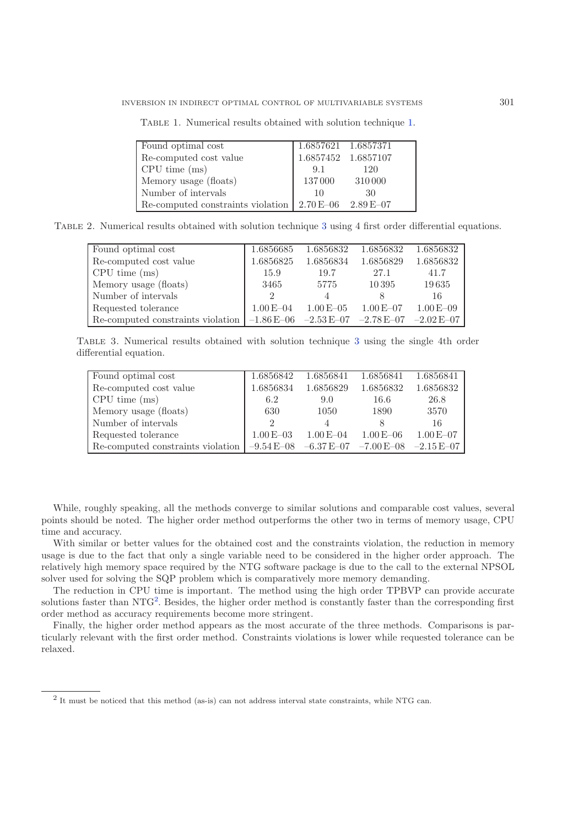| Found optimal cost                | 1.6857621 1.6857371         |     |
|-----------------------------------|-----------------------------|-----|
| Re-computed cost value            | 1.6857452 1.6857107         |     |
| CPU time (ms)                     | -9.1                        | 120 |
| Memory usage (floats)             | 137000 310000               |     |
| Number of intervals               | 10                          | 30  |
| Re-computed constraints violation | $2.70 E - 06$ $2.89 E - 07$ |     |

<span id="page-7-0"></span>Table 1. Numerical results obtained with solution technique [1.](#page-2-6)

<span id="page-7-1"></span>Table 2. Numerical results obtained with solution technique [3](#page-3-0) using 4 first order differential equations.

| Found optimal cost                              | 1.6856685     | 1.6856832                     | 1.6856832     | 1.6856832     |
|-------------------------------------------------|---------------|-------------------------------|---------------|---------------|
| Re-computed cost value                          | 1.6856825     | 1.6856834                     | 1.6856829     | 1.6856832     |
| CPU time (ms)                                   | 15.9          | 19.7                          | 27.1          | 41.7          |
| Memory usage (floats)                           | 3465          | 5775                          | 10395         | 19635         |
| Number of intervals                             | $\mathcal{D}$ |                               |               | 16            |
| Requested tolerance                             | $1.00E - 04$  | $1.00E - 05$                  | $1.00 E - 07$ | $1.00E - 09$  |
| Re-computed constraints violation $ -1.86E-06 $ |               | $-2.53 E - 07$ $-2.78 E - 07$ |               | $-2.02E - 07$ |

Table 3. Numerical results obtained with solution technique [3](#page-3-0) using the single 4th order differential equation.

| Found optimal cost                | 1.6856842     | 1.6856841                     | 1.6856841    | 1.6856841     |
|-----------------------------------|---------------|-------------------------------|--------------|---------------|
| Re-computed cost value            | 1.6856834     | 1.6856829                     | 1.6856832    | 1.6856832     |
| CPU time (ms)                     | 6.2           | 9.0                           | 16.6         | 26.8          |
| Memory usage (floats)             | 630           | 1050                          | 1890         | 3570          |
| Number of intervals               | $\mathcal{D}$ |                               |              | 16            |
| Requested tolerance               | $1.00E - 03$  | $1.00E - 04$                  | $1.00E - 06$ | $1.00E - 07$  |
| Re-computed constraints violation | $-9.54E - 08$ | $-6.37 E - 07$ $-7.00 E - 08$ |              | $-2.15E - 07$ |

While, roughly speaking, all the methods converge to similar solutions and comparable cost values, several points should be noted. The higher order method outperforms the other two in terms of memory usage, CPU time and accuracy.

<span id="page-7-2"></span>With similar or better values for the obtained cost and the constraints violation, the reduction in memory usage is due to the fact that only a single variable need to be considered in the higher order approach. The relatively high memory space required by the NTG software package is due to the call to the external NPSOL solver used for solving the SQP problem which is comparatively more memory demanding.

The reduction in CPU time is important. The method using the high order TPBVP can provide accurate solutions faster than  $NTG<sup>2</sup>$  $NTG<sup>2</sup>$  $NTG<sup>2</sup>$ . Besides, the higher order method is constantly faster than the corresponding first order method as accuracy requirements become more stringent.

Finally, the higher order method appears as the most accurate of the three methods. Comparisons is particularly relevant with the first order method. Constraints violations is lower while requested tolerance can be relaxed.

<sup>2</sup> It must be noticed that this method (as-is) can not address interval state constraints, while NTG can.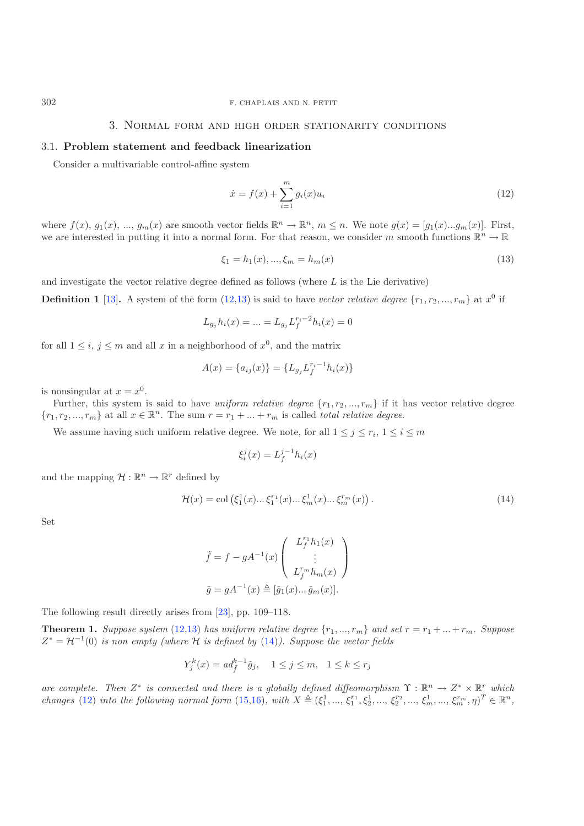## 3. Normal form and high order stationarity conditions

### 3.1. **Problem statement and feedback linearization**

Consider a multivariable control-affine system

<span id="page-8-2"></span><span id="page-8-1"></span>
$$
\dot{x} = f(x) + \sum_{i=1}^{m} g_i(x) u_i
$$
\n(12)

where  $f(x)$ ,  $g_1(x)$ , ...,  $g_m(x)$  are smooth vector fields  $\mathbb{R}^n \to \mathbb{R}^n$ ,  $m \leq n$ . We note  $g(x) = [g_1(x)...g_m(x)]$ . First, we are interested in putting it into a normal form. For that reason, we consider m smooth functions  $\mathbb{R}^n \to \mathbb{R}$ 

$$
\xi_1 = h_1(x), \dots, \xi_m = h_m(x) \tag{13}
$$

and investigate the vector relative degree defined as follows (where  $L$  is the Lie derivative)

**Definition 1** [\[13\]](#page-22-15). A system of the form  $(12,13)$  $(12,13)$  is said to have *vector relative degree*  $\{r_1, r_2, ..., r_m\}$  at  $x^0$  if

$$
L_{g_j} h_i(x) = \dots = L_{g_j} L_f^{r_i - 2} h_i(x) = 0
$$

for all  $1 \leq i, j \leq m$  and all x in a neighborhood of  $x^0$ , and the matrix

$$
A(x) = \{a_{ij}(x)\} = \{L_{g_j}L_f^{r_i - 1}h_i(x)\}
$$

is nonsingular at  $x = x^0$ .

Further, this system is said to have *uniform relative degree*  $\{r_1, r_2, ..., r_m\}$  if it has vector relative degree  ${r_1, r_2, ..., r_m}$  at all  $x \in \mathbb{R}^n$ . The sum  $r = r_1 + ... + r_m$  is called *total relative degree.* 

We assume having such uniform relative degree. We note, for all  $1 \leq j \leq r_i$ ,  $1 \leq i \leq m$ 

<span id="page-8-3"></span>
$$
\xi_i^j(x) = L_f^{j-1} h_i(x)
$$

and the mapping  $\mathcal{H} : \mathbb{R}^n \to \mathbb{R}^r$  defined by

$$
\mathcal{H}(x) = \text{col}\left(\xi_1^1(x)\dots\xi_1^{r_1}(x)\dots\xi_m^1(x)\dots\xi_m^{r_m}(x)\right). \tag{14}
$$

Set

$$
\tilde{f} = f - gA^{-1}(x) \begin{pmatrix} L_f^{r_1} h_1(x) \\ \vdots \\ L_f^{r_m} h_m(x) \end{pmatrix}
$$

$$
\tilde{g} = gA^{-1}(x) \triangleq [\tilde{g}_1(x) \dots \tilde{g}_m(x)].
$$

<span id="page-8-4"></span>The following result directly arises from [\[23](#page-23-21)], pp. 109–118.

**Theorem 1.** *Suppose system* [\(12,](#page-8-1)[13\)](#page-8-2) *has uniform relative degree*  $\{r_1, ..., r_m\}$  *and set*  $r = r_1 + ... + r_m$ *. Suppose*  $Z^* = \mathcal{H}^{-1}(0)$  *is non empty (where*  $\mathcal{H}$  *is defined by* [\(14\)](#page-8-3)). Suppose the vector fields

$$
Y_j^k(x) = ad_{\tilde{f}}^{k-1}\tilde{g}_j, \quad 1 \le j \le m, \quad 1 \le k \le r_j
$$

*are complete. Then*  $Z^*$  *is connected and there is a globally defined diffeomorphism*  $\Upsilon : \mathbb{R}^n \to Z^* \times \mathbb{R}^r$  *which changes* (12) *into the following normal form* (15.16) *with*  $X \triangleq (\varepsilon^1 - \varepsilon^{r_1} \varepsilon^1 - \vare$  $\hat{f}$  [\(12\)](#page-8-1) *into the following normal form* [\(15](#page-9-0)[,16\)](#page-9-1), with  $X \triangleq (\xi_1^1, ..., \xi_1^{r_1}, \xi_2^1, ..., \xi_2^{r_2}, ..., \xi_m^1, ..., \xi_m^{r_m}, \eta)^T \in \mathbb{R}^n$ ,

<span id="page-8-0"></span>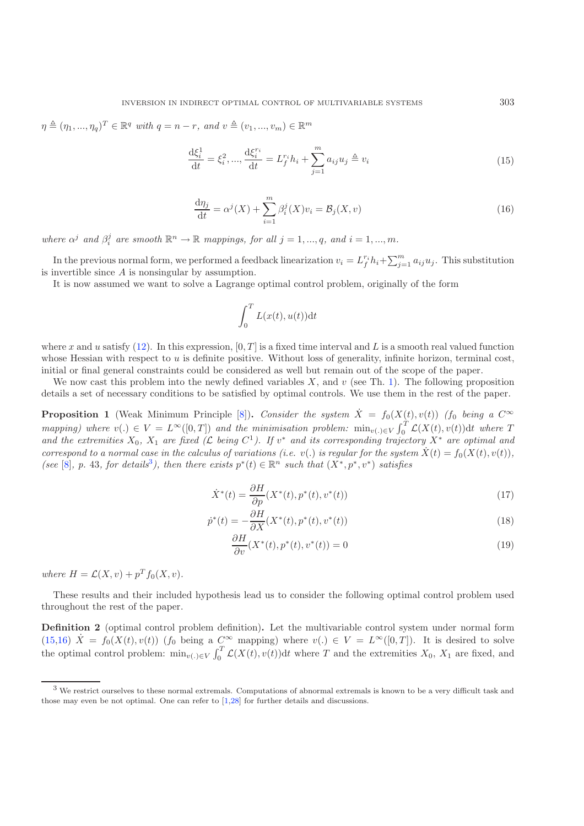<span id="page-9-1"></span><span id="page-9-0"></span> $\eta \triangleq (\eta_1, ..., \eta_q)^T \in \mathbb{R}^q$  *with*  $q = n - r$ *, and*  $v \triangleq (v_1, ..., v_m) \in \mathbb{R}^m$ 

$$
\frac{\mathrm{d}\xi_i^1}{\mathrm{d}t} = \xi_i^2, \dots, \frac{\mathrm{d}\xi_i^{r_i}}{\mathrm{d}t} = L_f^{r_i} h_i + \sum_{j=1}^m a_{ij} u_j \triangleq v_i \tag{15}
$$

$$
\frac{d\eta_j}{dt} = \alpha^j(X) + \sum_{i=1}^m \beta_i^j(X)v_i = \mathcal{B}_j(X,v)
$$
\n(16)

*where*  $\alpha^j$  *and*  $\beta_i^j$  *are smooth*  $\mathbb{R}^n \to \mathbb{R}$  *mappings, for all*  $j = 1, ..., q$ *, and*  $i = 1, ..., m$ *.* 

In the previous normal form, we performed a feedback linearization  $v_i = L_f^{r_i} h_i + \sum_{j=1}^m a_{ij} u_j$ . This substitution provibes since A is nonsingular by assumption is invertible since A is nonsingular by assumption.

It is now assumed we want to solve a Lagrange optimal control problem, originally of the form

<span id="page-9-4"></span><span id="page-9-3"></span>
$$
\int_0^T L(x(t), u(t)) \mathrm{d}t
$$

where x and u satisfy [\(12\)](#page-8-1). In this expression,  $[0, T]$  is a fixed time interval and L is a smooth real valued function whose Hessian with respect to  $u$  is definite positive. Without loss of generality, infinite horizon, terminal cost, initial or final general constraints could be considered as well but remain out of the scope of the paper.

We now cast this problem into the newly defined variables  $X$ , and  $v$  (see Th. [1\)](#page-8-4). The following proposition details a set of necessary conditions to be satisfied by optimal controls. We use them in the rest of the paper.

**Proposition 1** (Weak Minimum Principle [\[8](#page-22-16)]). *Consider the system*  $\dot{X} = f_0(X(t), v(t))$  (f<sub>0</sub> *being a*  $C^{\infty}$  monomial) where  $u(t) \in V$  is  $I^{\infty}([0, T])$  and the minimization multure minimization  $f^T C(X(t), u(t))$  it where  $T$ *mapping)* where  $v(.) \in V = L^{\infty}([0,T])$  and the minimisation problem:  $\min_{v(.) \in V} \int_0^1 \mathcal{L}(X(t), v(t)) dt$  where T<br>and the extremities  $X_1, X_2$  are fixed  $(C_1 \text{ being } C^1)$ . If  $v^*$  and its corresponding trajectory,  $X^*$  are ortinal *and the extremities*  $X_0$ ,  $X_1$  *are fixed* ( $\mathcal{L}$  *being*  $C^1$ ). If  $v^*$  *and its corresponding trajectory*  $X^*$  *are optimal and* correspond to a normal gase in the selection of variations (i.e.  $v'$ ) is receiv *correspond to a normal case in the calculus of variations (i.e. v(.) is regular for the system*  $\dot{X}(t) = f_0(X(t), v(t))$ *, (see* [\[8](#page-22-16)], p. 4[3](#page-9-2), for details<sup>3</sup>), then there exists  $p^*(t) \in \mathbb{R}^n$  such that  $(X^*, p^*, v^*)$  satisfies

$$
\dot{X}^*(t) = \frac{\partial H}{\partial p}(X^*(t), p^*(t), v^*(t))
$$
\n<sup>(17)</sup>

$$
\dot{p}^*(t) = -\frac{\partial H}{\partial X}(X^*(t), p^*(t), v^*(t))
$$
\n
$$
\frac{\partial H}{\partial Y}(X^*(t), p^*(t), v^*(t))
$$
\n(18)

$$
\frac{\partial H}{\partial v}(X^*(t), p^*(t), v^*(t)) = 0
$$
\n(19)

<span id="page-9-2"></span>*where*  $H = \mathcal{L}(X, v) + p^T f_0(X, v)$ .

These results and their included hypothesis lead us to consider the following optimal control problem used throughout the rest of the paper.

**Definition 2** (optimal control problem definition)**.** Let the multivariable control system under normal form [\(15,](#page-9-0)[16\)](#page-9-1)  $\dot{X} = f_0(X(t), v(t))$  ( $f_0$  being a  $C^{\infty}$  mapping) where  $v(.) \in V = L^{\infty}([0, T])$ . It is desired to solve the optimal control problem:  $\min_{v(.) \in V} \int_0^1 \mathcal{L}(X(t), v(t)) dt$  where T and the extremities  $X_0$ ,  $X_1$  are fixed, and

<sup>&</sup>lt;sup>3</sup> We restrict ourselves to these normal extremals. Computations of abnormal extremals is known to be a very difficult task and those may even be not optimal. One can refer to [\[1](#page-22-17)[,28](#page-23-22)] for further details and discussions.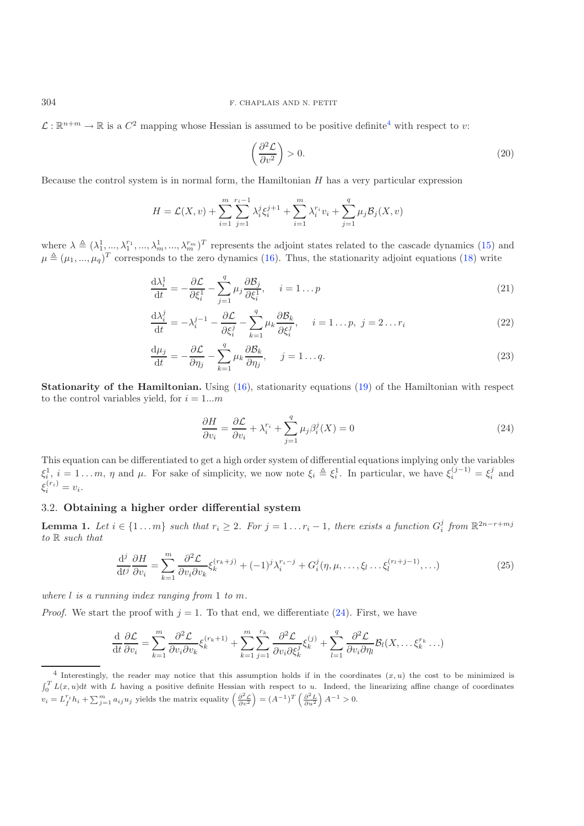$\mathcal{L}: \mathbb{R}^{n+m} \to \mathbb{R}$  is a  $C^2$  mapping whose Hessian is assumed to be positive definite<sup>[4](#page-10-0)</sup> with respect to v:

<span id="page-10-7"></span><span id="page-10-5"></span><span id="page-10-3"></span><span id="page-10-2"></span>
$$
\left(\frac{\partial^2 \mathcal{L}}{\partial v^2}\right) > 0.
$$
\n(20)

Because the control system is in normal form, the Hamiltonian  $H$  has a very particular expression

$$
H = \mathcal{L}(X, v) + \sum_{i=1}^{m} \sum_{j=1}^{r_i - 1} \lambda_i^j \xi_i^{j+1} + \sum_{i=1}^{m} \lambda_i^{r_i} v_i + \sum_{j=1}^{q} \mu_j \mathcal{B}_j(X, v)
$$

where  $\lambda \triangleq (\lambda_1^1, ..., \lambda_1^{r_1}, ..., \lambda_m^1, ..., \lambda_m^{r_m})^T$  represents the adjoint states related to the cascade dynamics [\(15\)](#page-9-0) and  $\mu \triangleq (\mu_1, ..., \mu_n)^T$  corresponds to the zero dynamics (16). Thus, the stationarity edicint caustions (18  $\mu \triangleq (\mu_1, ..., \mu_q)^T$  corresponds to the zero dynamics [\(16\)](#page-9-1). Thus, the stationarity adjoint equations [\(18\)](#page-9-3) write

<span id="page-10-1"></span>
$$
\frac{\mathrm{d}\lambda_i^1}{\mathrm{d}t} = -\frac{\partial \mathcal{L}}{\partial \xi_i^1} - \sum_{j=1}^q \mu_j \frac{\partial \mathcal{B}_j}{\partial \xi_i^1}, \quad i = 1 \dots p \tag{21}
$$

$$
\frac{\mathrm{d}\lambda_i^j}{\mathrm{d}t} = -\lambda_i^{j-1} - \frac{\partial \mathcal{L}}{\partial \xi_i^j} - \sum_{k=1}^q \mu_k \frac{\partial \mathcal{B}_k}{\partial \xi_i^j}, \quad i = 1 \dots p, \ j = 2 \dots r_i \tag{22}
$$

$$
\frac{d\mu_j}{dt} = -\frac{\partial \mathcal{L}}{\partial \eta_j} - \sum_{k=1}^q \mu_k \frac{\partial \mathcal{B}_k}{\partial \eta_j}, \quad j = 1 \dots q.
$$
\n(23)

**Stationarity of the Hamiltonian.** Using [\(16\)](#page-9-1), stationarity equations [\(19\)](#page-9-4) of the Hamiltonian with respect to the control variables yield, for  $i = 1...m$ 

<span id="page-10-4"></span>
$$
\frac{\partial H}{\partial v_i} = \frac{\partial \mathcal{L}}{\partial v_i} + \lambda_i^{r_i} + \sum_{j=1}^q \mu_j \beta_i^j(X) = 0
$$
\n(24)

This equation can be differentiated to get a high order system of differential equations implying only the variables  $\xi_i^1$ ,  $i = 1...m$ ,  $\eta$  and  $\mu$ . For sake of simplicity, we now note  $\xi_i \triangleq \xi_i^1$ . In particular, we have  $\xi_i^{(j-1)} = \xi_i^j$  and ξ  $i^{(r_i)}_i = v_i.$ 

## 3.2. **Obtaining a higher order differential system**

<span id="page-10-6"></span><span id="page-10-0"></span>**Lemma 1.** *Let*  $i \in \{1 \dots m\}$  *such that*  $r_i \geq 2$ *. For*  $j = 1 \dots r_i - 1$ *, there exists a function*  $G_i^j$  *from*  $\mathbb{R}^{2n-r+mj}$ *to* R *such that*

$$
\frac{\mathrm{d}^j}{\mathrm{d}t^j} \frac{\partial H}{\partial v_i} = \sum_{k=1}^m \frac{\partial^2 \mathcal{L}}{\partial v_i \partial v_k} \xi_k^{(r_k+j)} + (-1)^j \lambda_i^{r_i-j} + G_i^j(\eta, \mu, \dots, \xi_l \dots \xi_l^{(r_l+j-1)}, \dots) \tag{25}
$$

*where* l *is a running index ranging from* <sup>1</sup> *to* m*.*

*Proof.* We start the proof with  $j = 1$ . To that end, we differentiate [\(24\)](#page-10-1). First, we have

$$
\frac{\mathrm{d}}{\mathrm{d}t}\frac{\partial \mathcal{L}}{\partial v_i} = \sum_{k=1}^m \frac{\partial^2 \mathcal{L}}{\partial v_i \partial v_k} \xi_k^{(r_k+1)} + \sum_{k=1}^m \sum_{j=1}^{r_k} \frac{\partial^2 \mathcal{L}}{\partial v_i \partial \xi_k^j} \xi_k^{(j)} + \sum_{l=1}^q \frac{\partial^2 \mathcal{L}}{\partial v_i \partial \eta_l} \mathcal{B}_l(X, \dots, \xi_k^{r_k} \dots)
$$

 $4$  Interestingly, the reader may notice that this assumption holds if in the coordinates  $(x, u)$  the cost to be minimized is  $\int_0^T L(x, u) dt$  with *L* having a positive definite Hessian with respect to *u*. Indeed, the linearizing affine change of coordinates  $v_i = L_f^{r_i} h_i + \sum_{j=1}^m a_{ij} u_j$  yields the matrix equality  $\left(\frac{\partial^2 \mathcal{L}}{\partial v^2}\right) = (A^{-1})^T \left(\frac{\partial^2 L}{\partial u^2}\right) A^{-1} > 0$ .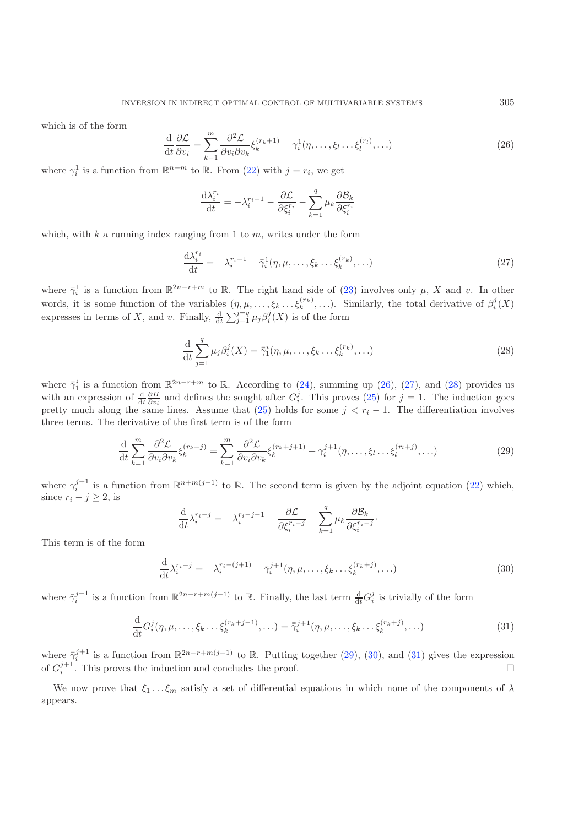<span id="page-11-1"></span>which is of the form

<span id="page-11-2"></span>
$$
\frac{\mathrm{d}}{\mathrm{d}t}\frac{\partial \mathcal{L}}{\partial v_i} = \sum_{k=1}^m \frac{\partial^2 \mathcal{L}}{\partial v_i \partial v_k} \xi_k^{(r_k+1)} + \gamma_i^1(\eta, \dots, \xi_l \dots \xi_l^{(r_l)}, \dots) \tag{26}
$$

where  $\gamma_i^1$  is a function from  $\mathbb{R}^{n+m}$  to  $\mathbb{R}$ . From [\(22\)](#page-10-2) with  $j = r_i$ , we get

$$
\frac{\mathrm{d}\lambda_i^{r_i}}{\mathrm{d}t} = -\lambda_i^{r_i - 1} - \frac{\partial \mathcal{L}}{\partial \xi_i^{r_i}} - \sum_{k=1}^q \mu_k \frac{\partial \mathcal{B}_k}{\partial \xi_i^{r_i}}
$$

<span id="page-11-3"></span>which, with  $k$  a running index ranging from 1 to  $m$ , writes under the form

$$
\frac{\mathrm{d}\lambda_i^{r_i}}{\mathrm{d}t} = -\lambda_i^{r_i-1} + \bar{\gamma}_i^1(\eta, \mu, \dots, \xi_k \dots \xi_k^{(r_k)}, \dots) \tag{27}
$$

<span id="page-11-4"></span>where  $\bar{\gamma}_i^1$  is a function from  $\mathbb{R}^{2n-r+m}$  to  $\mathbb{R}$ . The right hand side of [\(23\)](#page-10-3) involves only  $\mu$ , X and v. In other words, it is some function of the variables  $(\eta, \mu, \ldots, \xi_k \ldots \xi_k^{(r_k)}, \ldots)$ . Similarly, the total derivative of  $\beta_i^j(X)$ expresses in terms of X, and v. Finally,  $\frac{d}{dt}$  $\sum_{j=1}^{j=q} \mu_j \beta_i^j(X)$  is of the form

$$
\frac{\mathrm{d}}{\mathrm{d}t} \sum_{j=1}^{q} \mu_j \beta_i^j(X) = \overline{\overline{\gamma}}_1^i(\eta, \mu, \dots, \xi_k \dots \xi_k^{(r_k)}, \dots) \tag{28}
$$

where  $\bar{\gamma}_1^i$  is a function from  $\mathbb{R}^{2n-r+m}$  to  $\mathbb{R}$ . According to [\(24\)](#page-10-1), summing up [\(26\)](#page-11-1), [\(27\)](#page-11-2), and [\(28\)](#page-11-3) provides us<br>with an expression of  $\frac{d}{dt}$  and defines the sought ofter  $C^j$ . This proves (25) for  $i = 1$ with an expression of  $\frac{d}{dt} \frac{\partial H}{\partial v_i}$  and defines the sought after  $G_i^j$ . This proves [\(25\)](#page-10-4) for  $j = 1$ . The induction goes pretty much along the same lines. Assume that [\(25\)](#page-10-4) holds for some  $j < r_i - 1$ . The differentiation involves three terms. The derivative of the first term is of the form

<span id="page-11-5"></span>
$$
\frac{\mathrm{d}}{\mathrm{d}t} \sum_{k=1}^{m} \frac{\partial^2 \mathcal{L}}{\partial v_i \partial v_k} \xi_k^{(r_k+j)} = \sum_{k=1}^{m} \frac{\partial^2 \mathcal{L}}{\partial v_i \partial v_k} \xi_k^{(r_k+j+1)} + \gamma_i^{j+1} (\eta, \dots, \xi_l \dots \xi_l^{(r_l+j)}, \dots) \tag{29}
$$

<span id="page-11-6"></span>where  $\gamma_i^{j+1}$  is a function from  $\mathbb{R}^{n+m(j+1)}$  to  $\mathbb{R}$ . The second term is given by the adjoint equation [\(22\)](#page-10-2) which, since  $r_i - j \geq 2$ , is

$$
\frac{\mathrm{d}}{\mathrm{d}t} \lambda_i^{r_i - j} = -\lambda_i^{r_i - j - 1} - \frac{\partial \mathcal{L}}{\partial \xi_i^{r_i - j}} - \sum_{k=1}^q \mu_k \frac{\partial \mathcal{B}_k}{\partial \xi_i^{r_i - j}}.
$$

This term is of the form

$$
\frac{d}{dt}\lambda_i^{r_i-j} = -\lambda_i^{r_i-(j+1)} + \bar{\gamma}_i^{j+1}(\eta, \mu, \dots, \xi_k \dots \xi_k^{(r_k+j)}, \dots)
$$
\n(30)

where  $\bar{\gamma}_i^{j+1}$  is a function from  $\mathbb{R}^{2n-r+m(j+1)}$  to  $\mathbb{R}$ . Finally, the last term  $\frac{d}{dt}G_i^j$  is trivially of the form

$$
\frac{d}{dt}G_i^j(\eta, \mu, \dots, \xi_k \dots \xi_k^{(r_k + j - 1)}, \dots) = \bar{\bar{\gamma}}_i^{j+1}(\eta, \mu, \dots, \xi_k \dots \xi_k^{(r_k + j)}, \dots)
$$
\n(31)

where  $\bar{\gamma}_i^{j+1}$  is a function from  $\mathbb{R}^{2n-r+m(j+1)}$  to  $\mathbb{R}$ . Putting together [\(29\)](#page-11-4), [\(30\)](#page-11-5), and [\(31\)](#page-11-6) gives the expression of  $Cl^{j+1}$ . This proves the induction and concludes the proof of  $G_i^{j+1}$ . This proves the induction and concludes the proof.  $\Box$  $\Box$ 

<span id="page-11-0"></span>We now prove that  $\xi_1 \ldots \xi_m$  satisfy a set of differential equations in which none of the components of  $\lambda$ appears.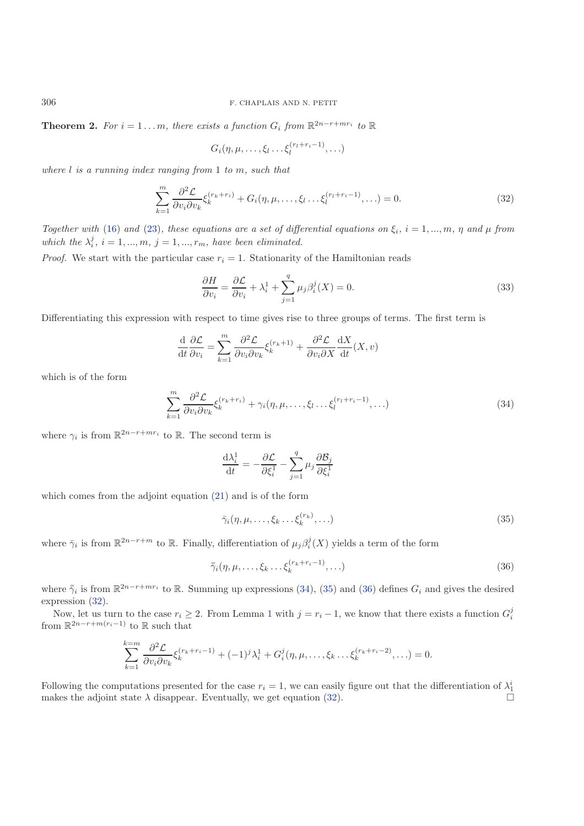**Theorem 2.** *For*  $i = 1...m$ *, there exists a function*  $G_i$  *from*  $\mathbb{R}^{2n-r+mr_i}$  *to*  $\mathbb{R}$ 

$$
G_i(\eta,\mu,\ldots,\xi_l\ldots\xi_l^{(r_l+r_i-1)},\ldots)
$$

*where* l *is a running index ranging from* <sup>1</sup> *to* m*, such that*

$$
\sum_{k=1}^{m} \frac{\partial^2 \mathcal{L}}{\partial v_i \partial v_k} \xi_k^{(r_k + r_i)} + G_i(\eta, \mu, \dots, \xi_l \dots \xi_l^{(r_l + r_i - 1)}, \dots) = 0.
$$
\n(32)

*Together with* [\(16\)](#page-9-1) and [\(23\)](#page-10-3), these equations are a set of differential equations on  $\xi_i$ ,  $i = 1, ..., m$ ,  $\eta$  and  $\mu$  from which the  $\lambda_i^j$ ,  $i = 1, ..., m$ ,  $j = 1, ..., r_m$ , have been eliminated.

*Proof.* We start with the particular case  $r_i = 1$ . Stationarity of the Hamiltonian reads

<span id="page-12-0"></span>
$$
\frac{\partial H}{\partial v_i} = \frac{\partial \mathcal{L}}{\partial v_i} + \lambda_i^1 + \sum_{j=1}^q \mu_j \beta_i^j(X) = 0.
$$
\n(33)

Differentiating this expression with respect to time gives rise to three groups of terms. The first term is

$$
\frac{\mathrm{d}}{\mathrm{d}t}\frac{\partial \mathcal{L}}{\partial v_i} = \sum_{k=1}^m \frac{\partial^2 \mathcal{L}}{\partial v_i \partial v_k} \xi_k^{(r_k+1)} + \frac{\partial^2 \mathcal{L}}{\partial v_i \partial X} \frac{\mathrm{d}X}{\mathrm{d}t}(X, v)
$$

which is of the form

$$
\sum_{k=1}^{m} \frac{\partial^2 \mathcal{L}}{\partial v_i \partial v_k} \xi_k^{(r_k + r_i)} + \gamma_i(\eta, \mu, \dots, \xi_l \dots \xi_l^{(r_l + r_i - 1)}, \dots)
$$
\n(34)

where  $\gamma_i$  is from  $\mathbb{R}^{2n-r+mr_i}$  to  $\mathbb{R}$ . The second term is

<span id="page-12-2"></span><span id="page-12-1"></span>
$$
\frac{\mathrm{d}\lambda_i^1}{\mathrm{d}t} = -\frac{\partial \mathcal{L}}{\partial \xi_i^1} - \sum_{j=1}^q \mu_j \frac{\partial \mathcal{B}_j}{\partial \xi_i^1}
$$

which comes from the adjoint equation  $(21)$  and is of the form

$$
\bar{\gamma}_i(\eta,\mu,\ldots,\xi_k\ldots\xi_k^{(r_k)},\ldots)
$$
\n(35)

where  $\bar{\gamma}_i$  is from  $\mathbb{R}^{2n-r+m}$  to  $\mathbb{R}$ . Finally, differentiation of  $\mu_j \beta_i^j(X)$  yields a term of the form

$$
\bar{\bar{\gamma}}_i(\eta,\mu,\ldots,\xi_k\ldots\xi_k^{(r_k+r_i-1)},\ldots)
$$
\n(36)

where  $\bar{z}_i$  is from  $\mathbb{R}^{2n-r+mr_i}$  to  $\mathbb{R}$ . Summing up expressions [\(34\)](#page-12-0), [\(35\)](#page-12-1) and [\(36\)](#page-12-2) defines  $G_i$  and gives the desired expression [\(32\)](#page-12-3).

Now, let us turn to the case  $r_i \geq 2$ . From Lemma [1](#page-10-6) with  $j = r_i - 1$ , we know that there exists a function  $G_i^j$ from  $\mathbb{R}^{2n-r+m(r_i-1)}$  to  $\mathbb R$  such that

$$
\sum_{k=1}^{k=m} \frac{\partial^2 \mathcal{L}}{\partial v_i \partial v_k} \xi_k^{(r_k+r_i-1)} + (-1)^j \lambda_i^1 + G_i^j(\eta, \mu, \dots, \xi_k \dots \xi_k^{(r_k+r_i-2)}, \dots) = 0.
$$

Following the computations presented for the case  $r_i = 1$ , we can easily figure out that the differentiation of  $\lambda_1^i$ <br>makes the adjoint state  $\lambda$  disappear. Eventually we get equation (32) makes the adjoint state  $\lambda$  disappear. Eventually, we get equation [\(32\)](#page-12-3).  $\Box$ 

<span id="page-12-3"></span>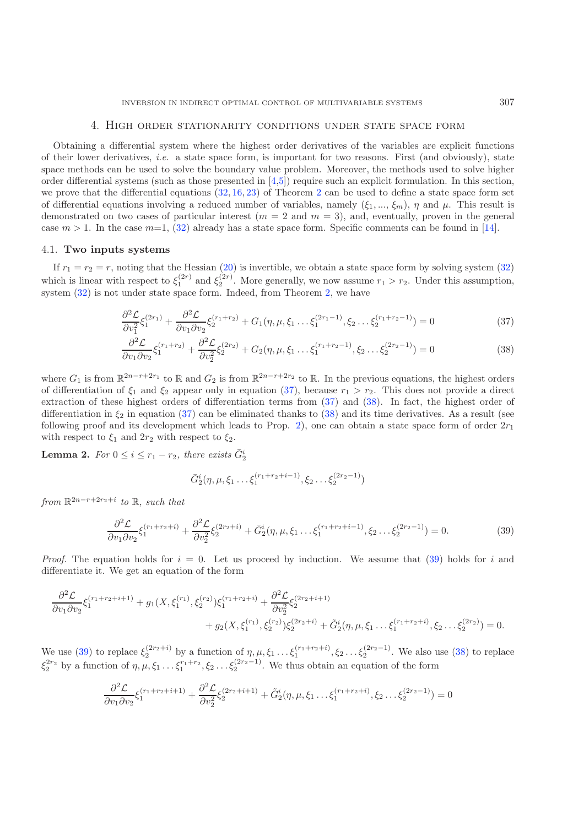### 4. High order stationarity conditions under state space form

<span id="page-13-0"></span>Obtaining a differential system where the highest order derivatives of the variables are explicit functions of their lower derivatives, *i.e.* a state space form, is important for two reasons. First (and obviously), state space methods can be used to solve the boundary value problem. Moreover, the methods used to solve higher order differential systems (such as those presented in  $[4,5]$  $[4,5]$  $[4,5]$ ) require such an explicit formulation. In this section, we prove that the differential equations  $(32, 16, 23)$  $(32, 16, 23)$  $(32, 16, 23)$  $(32, 16, 23)$  $(32, 16, 23)$  of Theorem [2](#page-11-0) can be used to define a state space form set of differential equations involving a reduced number of variables, namely  $(\xi_1, ..., \xi_m)$ ,  $\eta$  and  $\mu$ . This result is demonstrated on two cases of particular interest ( $m = 2$  and  $m = 3$ ), and, eventually, proven in the general case  $m > 1$ . In the case  $m=1$ , [\(32\)](#page-12-3) already has a state space form. Specific comments can be found in [\[14\]](#page-22-9).

### <span id="page-13-4"></span>4.1. **Two inputs systems**

If  $r_1 = r_2 = r$ , noting that the Hessian [\(20\)](#page-10-7) is invertible, we obtain a state space form by solving system [\(32\)](#page-12-3) which is linear with respect to  $\xi_1^{(2r)}$  and  $\xi_2^{(2r)}$ . More generally, we now assume  $r_1 > r_2$ . Under this assumption, system  $(32)$  is not under state space form. Indeed, from Theorem [2,](#page-11-0) we have

<span id="page-13-2"></span><span id="page-13-1"></span>
$$
\frac{\partial^2 \mathcal{L}}{\partial v_1^2} \xi_1^{(2r_1)} + \frac{\partial^2 \mathcal{L}}{\partial v_1 \partial v_2} \xi_2^{(r_1+r_2)} + G_1(\eta, \mu, \xi_1 \dots \xi_1^{(2r_1-1)}, \xi_2 \dots \xi_2^{(r_1+r_2-1)}) = 0
$$
\n(37)

$$
\frac{\partial^2 \mathcal{L}}{\partial v_1 \partial v_2} \xi_1^{(r_1+r_2)} + \frac{\partial^2 \mathcal{L}}{\partial v_2^2} \xi_2^{(2r_2)} + G_2(\eta, \mu, \xi_1 \dots \xi_1^{(r_1+r_2-1)}, \xi_2 \dots \xi_2^{(2r_2-1)}) = 0
$$
\n(38)

<span id="page-13-3"></span>where  $G_1$  is from  $\mathbb{R}^{2n-r+2r_1}$  to  $\mathbb R$  and  $G_2$  is from  $\mathbb{R}^{2n-r+2r_2}$  to  $\mathbb R$ . In the previous equations, the highest orders of differentiation of  $\xi_1$  and  $\xi_2$  appear only in equation [\(37\)](#page-13-1), because  $r_1 > r_2$ . This does not provide a direct extraction of these highest orders of differentiation terms from [\(37\)](#page-13-1) and [\(38\)](#page-13-2). In fact, the highest order of differentiation in  $\xi_2$  in equation [\(37\)](#page-13-1) can be eliminated thanks to [\(38\)](#page-13-2) and its time derivatives. As a result (see following proof and its development which leads to Prop. [2\)](#page-14-0), one can obtain a state space form of order  $2r_1$ with respect to  $\xi_1$  and  $2r_2$  with respect to  $\xi_2$ .

**Lemma 2.** *For*  $0 \le i \le r_1 - r_2$ , *there exists*  $\overline{G}_2^i$ 

$$
\bar{G}_2^i(\eta,\mu,\xi_1 \dots \xi_1^{(r_1+r_2+i-1)},\xi_2 \dots \xi_2^{(2r_2-1)})
$$

*from*  $\mathbb{R}^{2n-r+2r_2+i}$  *to*  $\mathbb{R}$ *, such that* 

$$
\frac{\partial^2 \mathcal{L}}{\partial v_1 \partial v_2} \xi_1^{(r_1+r_2+i)} + \frac{\partial^2 \mathcal{L}}{\partial v_2^2} \xi_2^{(2r_2+i)} + \bar{G}_2^i(\eta, \mu, \xi_1 \dots \xi_1^{(r_1+r_2+i-1)}, \xi_2 \dots \xi_2^{(2r_2-1)}) = 0.
$$
\n(39)

*Proof.* The equation holds for  $i = 0$ . Let us proceed by induction. We assume that [\(39\)](#page-13-3) holds for i and differentiate it. We get an equation of the form

$$
\frac{\partial^2 \mathcal{L}}{\partial v_1 \partial v_2} \xi_1^{(r_1+r_2+i+1)} + g_1(X, \xi_1^{(r_1)}, \xi_2^{(r_2)}) \xi_1^{(r_1+r_2+i)} + \frac{\partial^2 \mathcal{L}}{\partial v_2^2} \xi_2^{(2r_2+i+1)} + g_2(X, \xi_1^{(r_1)}, \xi_2^{(r_2)}) \xi_2^{(2r_2+i)} + \tilde{G}_2^i(\eta, \mu, \xi_1 \dots \xi_1^{(r_1+r_2+i)}, \xi_2 \dots \xi_2^{(2r_2)}) = 0.
$$

We use [\(39\)](#page-13-3) to replace  $\xi_2^{(2r_2+i)}$  by a function of  $\eta, \mu, \xi_1 \dots \xi_1^{(r_1+r_2+i)}, \xi_2 \dots \xi_2^{(2r_2-1)}$ . We also use [\(38\)](#page-13-2) to replace  $\xi_2^{(2r_2+1)}$  and  $\xi_3^{(2r_2+1)}$  and  $\xi_4^{(2r_2+1)}$  and  $\xi_5^{(2r_2+1)}$  and  $\xi_6^{(2r$  $\xi_2^{2r_2}$  by a function of  $\eta, \mu, \xi_1 \ldots \xi_1^{r_1+r_2}, \xi_2 \ldots \xi_2^{(2r_2-1)}$ . We thus obtain an equation of the form

$$
\frac{\partial^2 \mathcal{L}}{\partial v_1 \partial v_2} \xi_1^{(r_1+r_2+i+1)} + \frac{\partial^2 \mathcal{L}}{\partial v_2^2} \xi_2^{(2r_2+i+1)} + \tilde{G}_2^i(\eta, \mu, \xi_1 \dots \xi_1^{(r_1+r_2+i)}, \xi_2 \dots \xi_2^{(2r_2-1)}) = 0
$$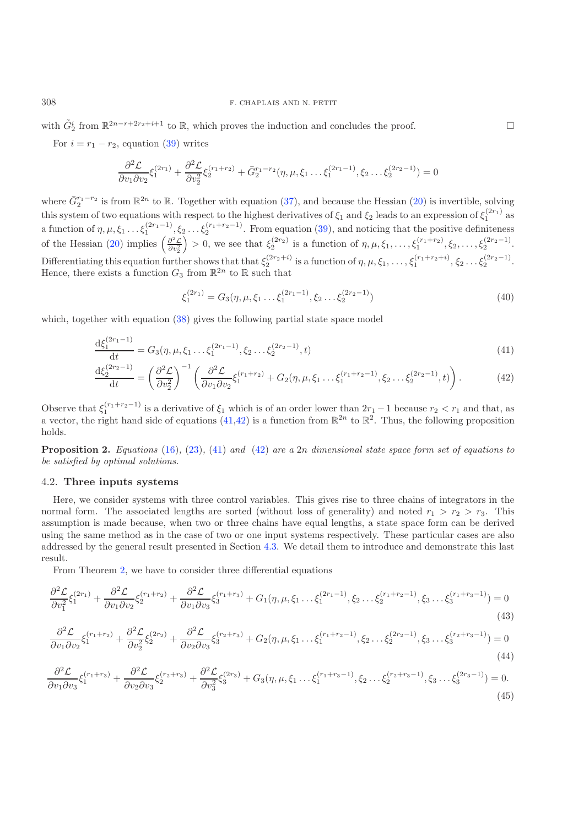with  $\tilde{G}_2^i$  from  $\mathbb{R}^{2n-r+2r_2+i+1}$  to  $\mathbb{R}$ , which proves the induction and concludes the proof.  $\Box$ 

For  $i = r_1 - r_2$ , equation [\(39\)](#page-13-3) writes

$$
\frac{\partial^2 \mathcal{L}}{\partial v_1 \partial v_2} \xi_1^{(2r_1)} + \frac{\partial^2 \mathcal{L}}{\partial v_2^2} \xi_2^{(r_1+r_2)} + \bar{G}_2^{r_1-r_2}(\eta, \mu, \xi_1 \dots \xi_1^{(2r_1-1)}, \xi_2 \dots \xi_2^{(2r_2-1)}) = 0
$$

where  $\bar{G}_2^{r_1-r_2}$  is from  $\mathbb{R}^{2n}$  to  $\mathbb{R}$ . Together with equation [\(37\)](#page-13-1), and because the Hessian [\(20\)](#page-10-7) is invertible, solving<br>this actual of the constituential nearest to the highest derivatives of C and C lea this system of two equations with respect to the highest derivatives of  $\xi_1$  and  $\xi_2$  leads to an expression of  $\xi_1^{(2r_1)}$  as a function of  $\eta, \mu, \xi_1 \ldots \xi_1^{(2r_1-1)}, \xi_2 \ldots \xi_2^{(r_1+r_2-1)}$ . From equation [\(39\)](#page-13-3), and noticing that the positive definiteness of the Hessian [\(20\)](#page-10-7) implies  $\left(\frac{\partial^2 \mathcal{L}}{\partial v_2^2}\right)$ ) > 0, we see that  $\xi_2^{(2r_2)}$  is a function of  $\eta, \mu, \xi_1, \ldots, \xi_1^{(r_1+r_2)}, \xi_2, \ldots, \xi_2^{(2r_2-1)}$ . Differentiating this equation further shows that that  $\xi_2^{(2r_2+i)}$  is a function of  $\eta, \mu, \xi_1, \ldots, \xi_1^{(r_1+r_2+i)}, \xi_2 \ldots \xi_2^{(2r_2-1)}$ .<br>Hence, there exists a function  $G_2$  from  $\mathbb{R}^{2n}$  to  $\mathbb{R}$  such that Hence, there exists a function  $G_3$  from  $\mathbb{R}^{2n}$  to  $\mathbb R$  such that

<span id="page-14-5"></span><span id="page-14-4"></span><span id="page-14-3"></span><span id="page-14-2"></span><span id="page-14-1"></span>
$$
\xi_1^{(2r_1)} = G_3(\eta, \mu, \xi_1 \dots \xi_1^{(2r_1 - 1)}, \xi_2 \dots \xi_2^{(2r_2 - 1)})
$$
\n(40)

which, together with equation [\(38\)](#page-13-2) gives the following partial state space model

$$
\frac{\mathrm{d}\xi_1^{(2r_1-1)}}{\mathrm{d}t} = G_3(\eta, \mu, \xi_1 \dots \xi_1^{(2r_1-1)}, \xi_2 \dots \xi_2^{(2r_2-1)}, t)
$$
\n(41)

$$
\frac{\mathrm{d}\xi_2^{(2r_2-1)}}{\mathrm{d}t} = \left(\frac{\partial^2 \mathcal{L}}{\partial v_2^2}\right)^{-1} \left(\frac{\partial^2 \mathcal{L}}{\partial v_1 \partial v_2} \xi_1^{(r_1+r_2)} + G_2(\eta, \mu, \xi_1 \dots \xi_1^{(r_1+r_2-1)}, \xi_2 \dots \xi_2^{(2r_2-1)}, t)\right). \tag{42}
$$

Observe that  $\xi_1^{(r_1+r_2-1)}$  is a derivative of  $\xi_1$  which is of an order lower than  $2r_1-1$  because  $r_2 < r_1$  and that, as a vector, the right hand side of equations [\(41](#page-14-1)[,42\)](#page-14-2) is a function from  $\mathbb{R}^{2n}$  to  $\mathbb{R}^{2}$ . Thus, the following proposition holds.

<span id="page-14-0"></span>**Proposition 2.** *Equations* [\(16\)](#page-9-1)*,* [\(23\)](#page-10-3)*,* [\(41\)](#page-14-1) *and* [\(42\)](#page-14-2) *are a* <sup>2</sup>n *dimensional state space form set of equations to be satisfied by optimal solutions.*

## <span id="page-14-6"></span>4.2. **Three inputs systems**

Here, we consider systems with three control variables. This gives rise to three chains of integrators in the normal form. The associated lengths are sorted (without loss of generality) and noted  $r_1 > r_2 > r_3$ . This assumption is made because, when two or three chains have equal lengths, a state space form can be derived using the same method as in the case of two or one input systems respectively. These particular cases are also addressed by the general result presented in Section [4.3.](#page-16-0) We detail them to introduce and demonstrate this last result.

From Theorem [2,](#page-11-0) we have to consider three differential equations

$$
\frac{\partial^2 \mathcal{L}}{\partial v_1^2} \xi_1^{(2r_1)} + \frac{\partial^2 \mathcal{L}}{\partial v_1 \partial v_2} \xi_2^{(r_1+r_2)} + \frac{\partial^2 \mathcal{L}}{\partial v_1 \partial v_3} \xi_3^{(r_1+r_3)} + G_1(\eta, \mu, \xi_1 \dots \xi_1^{(2r_1-1)}, \xi_2 \dots \xi_2^{(r_1+r_2-1)}, \xi_3 \dots \xi_3^{(r_1+r_3-1)}) = 0
$$
\n(43)

$$
\frac{\partial^2 \mathcal{L}}{\partial v_1 \partial v_2} \xi_1^{(r_1+r_2)} + \frac{\partial^2 \mathcal{L}}{\partial v_2^2} \xi_2^{(2r_2)} + \frac{\partial^2 \mathcal{L}}{\partial v_2 \partial v_3} \xi_3^{(r_2+r_3)} + G_2(\eta, \mu, \xi_1 \dots \xi_1^{(r_1+r_2-1)}, \xi_2 \dots \xi_2^{(2r_2-1)}, \xi_3 \dots \xi_3^{(r_2+r_3-1)}) = 0
$$
\n(44)

$$
\frac{\partial^2 \mathcal{L}}{\partial v_1 \partial v_3} \xi_1^{(r_1+r_3)} + \frac{\partial^2 \mathcal{L}}{\partial v_2 \partial v_3} \xi_2^{(r_2+r_3)} + \frac{\partial^2 \mathcal{L}}{\partial v_3^2} \xi_3^{(2r_3)} + G_3(\eta, \mu, \xi_1 \dots \xi_1^{(r_1+r_3-1)}, \xi_2 \dots \xi_2^{(r_2+r_3-1)}, \xi_3 \dots \xi_3^{(2r_3-1)}) = 0. \tag{45}
$$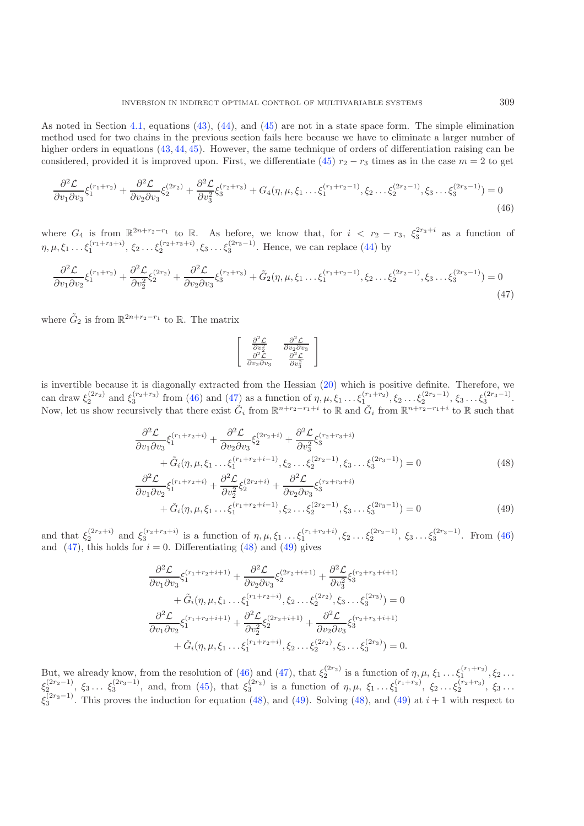As noted in Section [4.1,](#page-13-4) equations [\(43\)](#page-14-3), [\(44\)](#page-14-4), and [\(45\)](#page-14-5) are not in a state space form. The simple elimination method used for two chains in the previous section fails here because we have to eliminate a larger number of higher orders in equations [\(43,](#page-14-3) [44,](#page-14-4) [45\)](#page-14-5). However, the same technique of orders of differentiation raising can be considered, provided it is improved upon. First, we differentiate [\(45\)](#page-14-5)  $r_2 - r_3$  times as in the case  $m = 2$  to get

$$
\frac{\partial^2 \mathcal{L}}{\partial v_1 \partial v_3} \xi_1^{(r_1+r_2)} + \frac{\partial^2 \mathcal{L}}{\partial v_2 \partial v_3} \xi_2^{(2r_2)} + \frac{\partial^2 \mathcal{L}}{\partial v_3^2} \xi_3^{(r_2+r_3)} + G_4(\eta, \mu, \xi_1 \dots \xi_1^{(r_1+r_2-1)}, \xi_2 \dots \xi_2^{(2r_2-1)}, \xi_3 \dots \xi_3^{(2r_3-1)}) = 0
$$
\n(46)

where  $G_4$  is from  $\mathbb{R}^{2n+r_2-r_1}$  to  $\mathbb{R}$ . As before, we know that, for  $i < r_2 - r_3$ ,  $\xi_3^{2r_3+i}$  as a function of  $\eta, \mu, \xi_1 \ldots \xi_1^{(r_1+r_3+i)}, \xi_2 \ldots \xi_2^{(r_2+r_3+i)}, \xi_3 \ldots \xi_3^{(2r_3-1)}$ . Hence, we can replace [\(44\)](#page-14-4) by

$$
\frac{\partial^2 \mathcal{L}}{\partial v_1 \partial v_2} \xi_1^{(r_1+r_2)} + \frac{\partial^2 \mathcal{L}}{\partial v_2^2} \xi_2^{(2r_2)} + \frac{\partial^2 \mathcal{L}}{\partial v_2 \partial v_3} \xi_3^{(r_2+r_3)} + \tilde{G}_2(\eta, \mu, \xi_1 \dots \xi_1^{(r_1+r_2-1)}, \xi_2 \dots \xi_2^{(2r_2-1)}, \xi_3 \dots \xi_3^{(2r_3-1)}) = 0
$$
\n(47)

where  $\tilde{G}_2$  is from  $\mathbb{R}^{2n+r_2-r_1}$  to  $\mathbb{R}$ . The matrix

<span id="page-15-3"></span><span id="page-15-2"></span><span id="page-15-1"></span><span id="page-15-0"></span>
$$
\left[ \begin{array}{cc} \frac{\partial^2 \mathcal{L}}{\partial v_2^2} & \frac{\partial^2 \mathcal{L}}{\partial v_2 \partial v_3} \\ \frac{\partial^2 \mathcal{L}}{\partial v_2 \partial v_3} & \frac{\partial^2 \mathcal{L}}{\partial v_3^2} \end{array} \right]
$$

is invertible because it is diagonally extracted from the Hessian [\(20\)](#page-10-7) which is positive definite. Therefore, we can draw  $\xi_2^{(2r_2)}$  and  $\xi_3^{(r_2+r_3)}$  from [\(46\)](#page-15-0) and [\(47\)](#page-15-1) as a function of  $\eta, \mu, \xi_1 \dots \xi_1^{(r_1+r_2)}, \xi_2 \dots \xi_2^{(2r_2-1)}, \xi_3 \dots \xi_3^{(2r_3-1)}$ .<br>Now let us show require that there exist  $\tilde{C}$  from  $\mathbb{R}^{n+r_2-r_1+i}$  t Now, let us show recursively that there exist  $\tilde{G}_i$  from  $\mathbb{R}^{n+r_2-r_1+i}$  to  $\mathbb R$  and  $\tilde{G}_i$  from  $\mathbb{R}^{n+r_2-r_1+i}$  to  $\mathbb R$  such that

$$
\frac{\partial^2 \mathcal{L}}{\partial v_1 \partial v_3} \xi_1^{(r_1+r_2+i)} + \frac{\partial^2 \mathcal{L}}{\partial v_2 \partial v_3} \xi_2^{(2r_2+i)} + \frac{\partial^2 \mathcal{L}}{\partial v_3^2} \xi_3^{(r_2+r_3+i)} + \tilde{G}_i(\eta, \mu, \xi_1 \dots \xi_1^{(r_1+r_2+i-1)}, \xi_2 \dots \xi_2^{(2r_2-1)}, \xi_3 \dots \xi_3^{(2r_3-1)}) = 0
$$
\n
$$
\frac{\partial^2 \mathcal{L}}{\partial v_1 \partial v_2} \xi_1^{(r_1+r_2+i)} + \frac{\partial^2 \mathcal{L}}{\partial v_2^2} \xi_2^{(2r_2+i)} + \frac{\partial^2 \mathcal{L}}{\partial v_2 \partial v_3} \xi_3^{(r_2+r_3+i)}
$$
\n
$$
(2r_1 + 1)
$$
\n
$$
(2r_2 + 1)
$$
\n
$$
(2r_2 + 1)
$$

$$
\partial v_2^2 \partial v_3^3 + \tilde{G}_i(\eta, \mu, \xi_1 \dots \xi_1^{(r_1+r_2+i-1)}, \xi_2 \dots \xi_2^{(2r_2-1)}, \xi_3 \dots \xi_3^{(2r_3-1)} = 0
$$
\n(49)

and that  $\xi_2^{(2r_2+i)}$  and  $\xi_3^{(r_2+r_3+i)}$  is a function of  $\eta, \mu, \xi_1 \dots \xi_1^{(r_1+r_2+i)}$ ,  $\xi_2 \dots \xi_2^{(2r_2-1)}$ ,  $\xi_3 \dots \xi_3^{(2r_3-1)}$ . From [\(46\)](#page-15-0) and  $(47)$ , this holds for  $i = 0$ . Differentiating  $(48)$  and  $(49)$  gives

$$
\frac{\partial^2 \mathcal{L}}{\partial v_1 \partial v_3} \xi_1^{(r_1+r_2+i+1)} + \frac{\partial^2 \mathcal{L}}{\partial v_2 \partial v_3} \xi_2^{(2r_2+i+1)} + \frac{\partial^2 \mathcal{L}}{\partial v_3^2} \xi_3^{(r_2+r_3+i+1)} \n+ \tilde{G}_i(\eta, \mu, \xi_1 \dots \xi_1^{(r_1+r_2+i)}, \xi_2 \dots \xi_2^{(2r_2)}, \xi_3 \dots \xi_3^{(2r_3)}) = 0 \n\frac{\partial^2 \mathcal{L}}{\partial v_1 \partial v_2} \xi_1^{(r_1+r_2+i+1)} + \frac{\partial^2 \mathcal{L}}{\partial v_2^2} \xi_2^{(2r_2+i+1)} + \frac{\partial^2 \mathcal{L}}{\partial v_2 \partial v_3} \xi_3^{(r_2+r_3+i+1)} \n+ \tilde{G}_i(\eta, \mu, \xi_1 \dots \xi_1^{(r_1+r_2+i)}, \xi_2 \dots \xi_2^{(2r_2)}, \xi_3 \dots \xi_3^{(2r_3)}) = 0.
$$

But, we already know, from the resolution of [\(46\)](#page-15-0) and [\(47\)](#page-15-1), that  $\xi_2^{(2r_2)}$  is a function of  $\eta, \mu, \xi_1 \dots \xi_1^{(r_1+r_2)}, \xi_2 \dots$ ξ (2r<sub>2</sub>-1)</sup>,  $\xi_3$ ...  $\xi_3^{(2r_3-1)}$ , and, from [\(45\)](#page-14-5), that  $\xi_3^{(2r_3)}$  is a function of  $\eta, \mu, \xi_1 \dots \xi_1^{(r_1+r_3)}$ ,  $\xi_2 \dots \xi_2^{(r_2+r_3)}$ ,  $\xi_3 \dots$ <br>
(2r<sub>3</sub>−1)</sub> This agreement by induction for a supplier (49) and (40) ξ  $(2r_3-1)$ . This proves the induction for equation [\(48\)](#page-15-2), and [\(49\)](#page-15-3). Solving (48), and (49) at  $i+1$  with respect to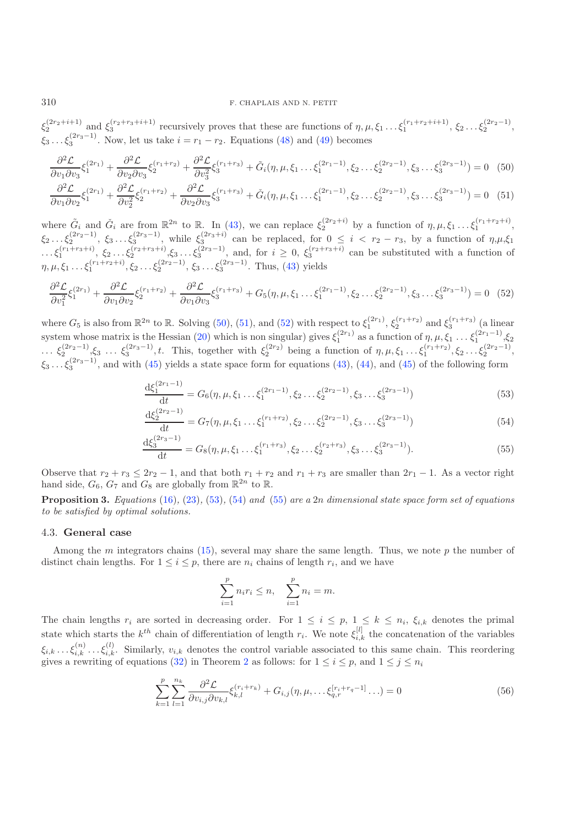<span id="page-16-1"></span> $\xi_3$ ... $\xi_3^{(2r_3-1)}$ . Now, let us take  $i = r_1 - r_2$ . Equations [\(48\)](#page-15-2) and [\(49\)](#page-15-3) becomes  $\zeta_2^{(2r_2+i+1)}$  and  $\xi_3^{(r_2+r_3+i+1)}$  recursively proves that these are functions of  $\eta, \mu, \xi_1 \dots \xi_1^{(r_1+r_2+i+1)}, \xi_2 \dots \xi_2^{(2r_2-1)},$ 

<span id="page-16-2"></span>
$$
\frac{\partial^2 \mathcal{L}}{\partial v_1 \partial v_3} \xi_1^{(2r_1)} + \frac{\partial^2 \mathcal{L}}{\partial v_2 \partial v_3} \xi_2^{(r_1 + r_2)} + \frac{\partial^2 \mathcal{L}}{\partial v_3^2} \xi_3^{(r_1 + r_3)} + \tilde{G}_i(\eta, \mu, \xi_1 \dots \xi_1^{(2r_1 - 1)}, \xi_2 \dots \xi_2^{(2r_2 - 1)}, \xi_3 \dots \xi_3^{(2r_3 - 1)}) = 0 \tag{50}
$$

$$
\frac{\partial^2 \mathcal{L}}{\partial v_1 \partial v_2} \xi_1^{(2r_1)} + \frac{\partial^2 \mathcal{L}}{\partial v_2^2} \xi_2^{(r_1 + r_2)} + \frac{\partial^2 \mathcal{L}}{\partial v_2 \partial v_3} \xi_3^{(r_1 + r_3)} + \check{G}_i(\eta, \mu, \xi_1 \dots \xi_1^{(2r_1 - 1)}, \xi_2 \dots \xi_2^{(2r_2 - 1)}, \xi_3 \dots \xi_3^{(2r_3 - 1)}) = 0 \tag{51}
$$

where  $\tilde{G}_i$  and  $\tilde{G}_i$  are from  $\mathbb{R}^{2n}$  to  $\mathbb{R}$ . In [\(43\)](#page-14-3), we can replace  $\xi_2^{(2r_2+i)}$  by a function of  $\eta, \mu, \xi_1 \dots \xi_1^{(r_1+r_2+i)}$ ,<br>  $\xi_2 \dots \xi_2^{(2r_2-1)}$ ,  $\xi_3 \dots \xi_3^{(2r_3-1)}$ , while  $\xi_3^{(2r_3+i)}$  ca  $\ldots, \xi_1^{(r_1+r_3+i)}, \xi_2 \ldots \xi_2^{(r_2+r_3+i)}, \xi_3 \ldots \xi_3^{(2r_3-1)},$  and, for  $i \geq 0, \xi_3^{(r_2+r_3+i)}$  can be substituted with a function of  $\eta, \mu, \xi_1 \ldots \xi_1^{(r_1+r_2+i)}, \xi_2 \ldots \xi_2^{(2r_2-1)}, \xi_3 \ldots \xi_3^{(2r_3-1)}$ . Thus, [\(43\)](#page-14-3) yields

$$
\frac{\partial^2 \mathcal{L}}{\partial v_1^2} \xi_1^{(2r_1)} + \frac{\partial^2 \mathcal{L}}{\partial v_1 \partial v_2} \xi_2^{(r_1+r_2)} + \frac{\partial^2 \mathcal{L}}{\partial v_1 \partial v_3} \xi_3^{(r_1+r_3)} + G_5(\eta, \mu, \xi_1 \dots \xi_1^{(2r_1-1)}, \xi_2 \dots \xi_2^{(2r_2-1)}, \xi_3 \dots \xi_3^{(2r_3-1)}) = 0 \tag{52}
$$

where  $G_5$  is also from  $\mathbb{R}^{2n}$  to  $\mathbb{R}$ . Solving [\(50\)](#page-16-1), [\(51\)](#page-16-2), and [\(52\)](#page-16-3) with respect to  $\xi_1^{(2r_1)}$ ,  $\xi_2^{(r_1+r_2)}$  and  $\xi_3^{(r_1+r_3)}$  (a linear<br>system where we thin is the Userian (20) which is non-simplex) s system whose matrix is the Hessian [\(20\)](#page-10-7) which is non singular) gives  $\xi_1^{(2r_1)}$  as a function of  $\eta, \mu, \xi_1 \ldots \xi_1^{(2r_1-1)}, \xi_2$ ...  $\xi_2^{(2r_2-1)}, \xi_3$  ...  $\xi_3^{(2r_3-1)}, t$ . This, together with  $\xi_2^{(2r_2)}$  being a function of  $\eta, \mu, \xi_1 \dots \xi_1^{(r_1+r_2)}, \xi_2 \dots \xi_2^{(2r_2-1)},$  $\xi_3 \ldots \xi_3^{(2r_3-1)}$ , and with [\(45\)](#page-14-5) yields a state space form for equations [\(43\)](#page-14-3), [\(44\)](#page-14-4), and (45) of the following form

<span id="page-16-6"></span><span id="page-16-5"></span><span id="page-16-4"></span><span id="page-16-3"></span>
$$
\frac{\mathrm{d}\xi_1^{(2r_1-1)}}{\mathrm{d}t} = G_6(\eta, \mu, \xi_1 \dots \xi_1^{(2r_1-1)}, \xi_2 \dots \xi_2^{(2r_2-1)}, \xi_3 \dots \xi_3^{(2r_3-1)})\tag{53}
$$

$$
\frac{\mathrm{d}\xi_2^{(2r_2-1)}}{\mathrm{d}t} = G_7(\eta, \mu, \xi_1 \dots \xi_1^{(r_1+r_2)}, \xi_2 \dots \xi_2^{(2r_2-1)}, \xi_3 \dots \xi_3^{(2r_3-1)})\tag{54}
$$

$$
\frac{d\xi_3^{(2r_3-1)}}{dt} = G_8(\eta, \mu, \xi_1 \dots \xi_1^{(r_1+r_3)}, \xi_2 \dots \xi_2^{(r_2+r_3)}, \xi_3 \dots \xi_3^{(2r_3-1)}).
$$
\n(55)

Observe that  $r_2 + r_3 \leq 2r_2 - 1$ , and that both  $r_1 + r_2$  and  $r_1 + r_3$  are smaller than  $2r_1 - 1$ . As a vector right hand side,  $G_6$ ,  $G_7$  and  $G_8$  are globally from  $\mathbb{R}^{2n}$  to  $\mathbb{R}$ .

**Proposition 3.** *Equations* [\(16\)](#page-9-1)*,* [\(23\)](#page-10-3)*,* [\(53\)](#page-16-4)*,* [\(54\)](#page-16-5) *and* [\(55\)](#page-16-6) *are a* <sup>2</sup>n *dimensional state space form set of equations to be satisfied by optimal solutions.*

# <span id="page-16-0"></span>4.3. **General case**

<span id="page-16-7"></span>Among the m integrators chains [\(15\)](#page-9-0), several may share the same length. Thus, we note p the number of distinct chain lengths. For  $1 \leq i \leq p$ , there are  $n_i$  chains of length  $r_i$ , and we have

$$
\sum_{i=1}^{p} n_i r_i \le n, \quad \sum_{i=1}^{p} n_i = m.
$$

The chain lengths  $r_i$  are sorted in decreasing order. For  $1 \leq i \leq p$ ,  $1 \leq k \leq n_i$ ,  $\xi_{i,k}$  denotes the primal state which starts the  $k^{th}$  chain of differentiation of length  $r_i$ . We note  $\xi_{i,k}^{[l]}$  the concatenation of the variables  $\xi_{i,k} \dots \xi_{i,k}^{(n)} \dots \xi_{i,k}^{(l)}$ . Similarly,  $v_{i,k}$  denotes the control variable associated to this same chain. This reordering<br>gives a counting of equations (22) in Theorem 2 as follows: for  $1 \le i \le n$  and  $1 \le i \le n$ . gives a rewriting of equations [\(32\)](#page-12-3) in Theorem [2](#page-11-0) as follows: for  $1 \le i \le p$ , and  $1 \le j \le n_i$ 

$$
\sum_{k=1}^{p} \sum_{l=1}^{n_k} \frac{\partial^2 \mathcal{L}}{\partial v_{i,j} \partial v_{k,l}} \xi_{k,l}^{(r_i + r_k)} + G_{i,j}(\eta, \mu, \dots \xi_{q,r}^{[r_i + r_q - 1]} \dots) = 0
$$
\n(56)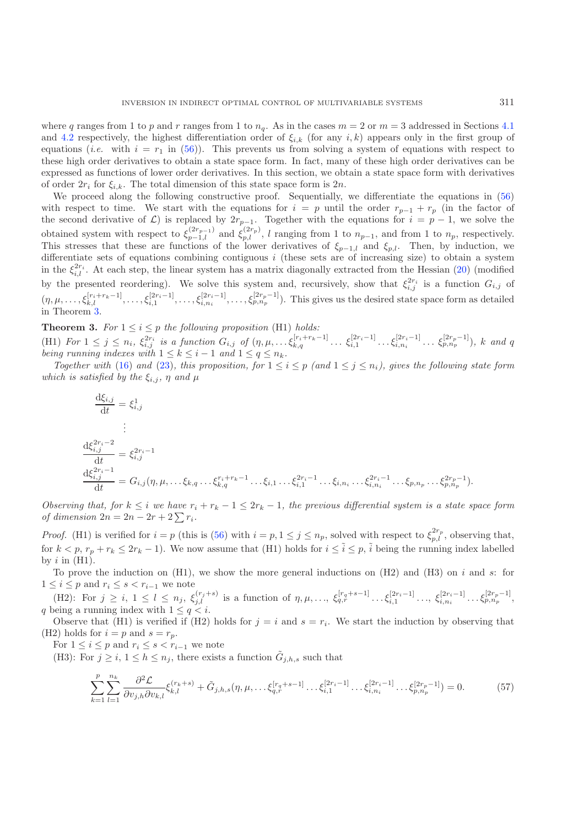where q ranges from 1 to p and r ranges from 1 to  $n_q$ . As in the cases  $m = 2$  or  $m = 3$  addressed in Sections [4.1](#page-13-4) and [4.2](#page-14-6) respectively, the highest differentiation order of  $\xi_{i,k}$  (for any  $i,k$ ) appears only in the first group of equations (*i.e.* with  $i = r_1$  in [\(56\)](#page-16-7)). This prevents us from solving a system of equations with respect to these high order derivatives to obtain a state space form. In fact, many of these high order derivatives can be expressed as functions of lower order derivatives. In this section, we obtain a state space form with derivatives of order  $2r_i$  for  $\xi_{i,k}$ . The total dimension of this state space form is  $2n$ .

We proceed along the following constructive proof. Sequentially, we differentiate the equations in [\(56\)](#page-16-7) with respect to time. We start with the equations for  $i = p$  until the order  $r_{p-1} + r_p$  (in the factor of the second derivative of  $\mathcal{L}$ ) is replaced by  $2r_{p-1}$ . Together with the equations for  $i = p - 1$ , we solve the obtained system with respect to  $\xi_{p-1,l}^{(2r_{p-1})}$  and  $\xi_{p,l}^{(2r_p)}$ , l ranging from 1 to  $n_{p-1}$ , and from 1 to  $n_p$ , respectively.<br>This stresses that these are functions of the lower derivatives of  $\xi_{p+1}$  and  $\xi$ This stresses that these are functions of the lower derivatives of  $\xi_{p-1,l}$  and  $\xi_{p,l}$ . Then, by induction, we<br>differentiate sets of equations combining contiguous *i* (these sets are of increasing size) to obtain a s differentiate sets of equations combining contiguous  $i$  (these sets are of increasing size) to obtain a system in the  $\xi_{i,l}^{2r_i}$ . At each step, the linear system has a matrix diagonally extracted from the Hessian [\(20\)](#page-10-7) (modified by the presented reordering). We solve this system and, recursively, show that  $\xi_{i,j}^{2r_i}$  is a function  $G_{i,j}$  of  $(\eta, \mu, \ldots, \xi_{k,l}^{[r_i+r_k-1]}, \ldots, \xi_{i,1}^{[2r_i-1]}, \ldots, \xi_{i,n_i}^{[2r_i-1]}, \ldots, \xi_{p,n_p}^{[2r_p-1]})$ . This gives us the desired state space form as detailed in Theorem 3. in Theorem [3.](#page-17-0)

<span id="page-17-0"></span>**Theorem 3.** For  $1 \leq i \leq p$  *the following proposition* (H1) *holds:*<br>(H1)  $F_{cm} 1 \leq i \leq p$   $f_{cm} 2r_i$  is a function  $G_{cm} f_{cm} (r_i + r_k - r_j)$ (H1) For  $1 \leq j \leq n_i$ ,  $\xi_{i,j}^{2r_i}$  is a function  $G_{i,j}$  of  $(\eta, \mu, \ldots \xi_{k,q}^{[r_i+r_k-1]} \ldots \xi_{i,1}^{[2r_i-1]} \ldots \xi_{i,n_i}^{[2r_i-1]} \ldots \xi_{p,n_p}^{[2r_p-1]}), k$  and q<br>being running indexes with  $1 \leq k \leq i-1$  and  $1 \leq q \leq n$ . *being running indexes with*  $1 \leq k \leq i-1$  *and*  $1 \leq q \leq n_k$ .<br>*Together with* (16) and (23) this proposition for  $1 \leq i$ 

*Together with* [\(16\)](#page-9-1) and [\(23\)](#page-10-3), this proposition, for  $1 \leq i \leq p$  (and  $1 \leq j \leq n_i$ ), gives the following state form *which is satisfied by the*  $\xi_{i,j}$ ,  $\eta$  *and*  $\mu$ 

$$
\frac{d\xi_{i,j}}{dt} = \xi_{i,j}^1
$$
\n
$$
\frac{d\xi_{i,j}^{2r_i-2}}{dt} = \xi_{i,j}^{2r_i-1}
$$
\n
$$
\frac{d\xi_{i,j}^{2r_i-2}}{dt} = G_{i,j}(\eta, \mu, \dots, \xi_{k,q} \dots \xi_{k,q}^{r_i+r_k-1} \dots \xi_{i,1} \dots \xi_{i,1}^{2r_i-1} \dots \xi_{i,n_i} \dots \xi_{i,n_p}^{2r_i-1} \dots \xi_{p,n_p} \dots \xi_{p,n_p}^{2r_p-1}).
$$

*Observing that, for*  $k \leq i$  *we have*  $r_i + r_k - 1 \leq 2r_k - 1$ , the previous differential system is a state space form *of dimension*  $2n = 2n - 2r + 2\sum_i r_i$ .

*Proof.* (H1) is verified for  $i = p$  (this is [\(56\)](#page-16-7) with  $i = p, 1 \leq j \leq n_p$ , solved with respect to  $\xi_{p,l}^{2r_p}$ , observing that, for  $k < p$ ,  $r_p + r_k \leq 2r_k - 1$ ). We now assume that (H1) holds for  $i \leq \tilde{i} \leq p$ ,  $\tilde{i}$  being the running index labelled by  $i$  in  $(H1)$ .

To prove the induction on (H1), we show the more general inductions on (H2) and (H3) on i and s: for  $1 \le i \le p$  and  $r_i \le s < r_{i-1}$  we note  $1 \leq i \leq p$  and  $r_i \leq s < r_{i-1}$  we note

(H2): For  $j \ge i, 1 \le l \le n_j, \xi_{j,l}^{(r_j+s)}$  is a function of  $\eta, \mu, \ldots, \xi_{q,r}^{[r_q+s-1]} \ldots \xi_{i,1}^{[2r_i-1]} \ldots, \xi_{i,n_i}^{[2r_i-1]} \ldots \xi_{p,n_p}^{[2r_p-1]},$ q being a running index with  $1 \leq q < i$ .<br>Observe that (H1) is verified if (H2)

Observe that (H1) is verified if (H2) holds for  $j = i$  and  $s = r_i$ . We start the induction by observing that (H2) holds for  $i = p$  and  $s = r_p$ .

For  $1 \leq i \leq p$  and  $r_i \leq s < r_{i-1}$  we note

(H3): For  $j \geq i, 1 \leq h \leq n_j$ , there exists a function  $G_{j,h,s}$  such that

<span id="page-17-1"></span>
$$
\sum_{k=1}^{p} \sum_{l=1}^{n_k} \frac{\partial^2 \mathcal{L}}{\partial v_{j,h} \partial v_{k,l}} \xi_{k,l}^{(r_k+s)} + \tilde{G}_{j,h,s}(\eta, \mu, \dots, \xi_{q,r}^{[r_q+s-1]} \dots \xi_{i,1}^{[2r_i-1]} \dots \xi_{i,n_i}^{[2r_i-1]} \dots \xi_{p,n_p}^{[2r_p-1]}) = 0.
$$
 (57)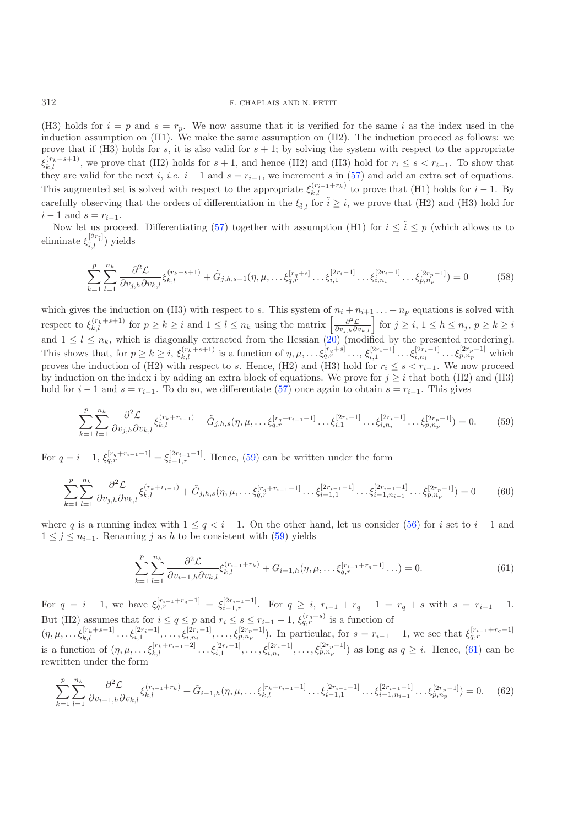(H3) holds for  $i = p$  and  $s = r_p$ . We now assume that it is verified for the same i as the index used in the induction assumption on (H1). We make the same assumption on (H2). The induction proceed as follows: we prove that if (H3) holds for s, it is also valid for  $s + 1$ ; by solving the system with respect to the appropriate they are valid for the next *i*, *i.e.*  $i - 1$  and  $s = r_{i-1}$ , we increment s in [\(57\)](#page-17-1) and add an extra set of equations.  $(r_k+s+1)$ , we prove that (H2) holds for s + 1, and hence (H2) and (H3) hold for  $r_i \leq s < r_{i-1}$ . To show that This augmented set is solved with respect to the appropriate  $\xi_{k,l}^{(r_{i-1}+r_k)}$  to prove that (H1) holds for  $i-1$ . By carefully observing that the orders of differentiation in the  $\xi_{\tilde{i},l}$  for  $\tilde{i} \geq i$ , we prove that (H2) and (H3) hold for  $i - 1$  and  $s = r_{i-1}$ .

Now let us proceed. Differentiating [\(57\)](#page-17-1) together with assumption (H1) for  $i \leq \tilde{i} \leq p$  (which allows us to eliminate  $\xi_{\tilde{i},l}^{[2r_{\tilde{i}}]}$ ) yields

<span id="page-18-4"></span><span id="page-18-0"></span>
$$
\sum_{k=1}^{p} \sum_{l=1}^{n_k} \frac{\partial^2 \mathcal{L}}{\partial v_{j,h} \partial v_{k,l}} \xi_{k,l}^{(r_k+s+1)} + \tilde{G}_{j,h,s+1}(\eta, \mu, \dots, \xi_{q,r}^{[r_q+s]} \dots \xi_{i,1}^{[2r_i-1]} \dots \xi_{i,n_i}^{[2r_i-1]} \dots \xi_{p,n_p}^{[2r_p-1]}) = 0 \tag{58}
$$

<span id="page-18-2"></span>which gives the induction on (H3) with respect to s. This system of  $n_i + n_{i+1} \ldots + n_p$  equations is solved with respect to  $\xi_{k,l}^{(r_k+s+1)}$  for  $p \ge k \ge i$  and  $1 \le l \le n_k$  using the matrix  $\left[\frac{\partial^2 \mathcal{L}}{\partial v_{j,h} \partial v_{k,l}}\right]$  for  $j \ge i, 1 \le h \le n_j, p \ge k \ge i$ and  $1 \leq l \leq n_k$ , which is diagonally extracted from the Hessian [\(20\)](#page-10-7) (modified by the presented reordering). This shows that, for  $p \ge k \ge i$ ,  $\xi_{k,l}^{(r_k+s+1)}$  is a function of  $\eta, \mu, \ldots, \xi_{q,r}^{[r_q+s]} \ldots, \xi_{i,1}^{[2r_i-1]} \ldots, \xi_{i,n_i}^{[2r_i-1]} \ldots, \xi_{p,n_p}^{[2r_p-1]}$  which proves the induction of (H2) with respect to s. Hence, (H2) and (H3) hold for  $r_i \leq s < r_{i-1}$ . We now proceed<br>by induction on the index i by adding an extra block of equations. We prove for  $i > i$  that both (H2) and (H3) by induction on the index i by adding an extra block of equations. We prove for  $j \geq i$  that both (H2) and (H3) hold for  $i - 1$  and  $s = r_{i-1}$ . To do so, we differentiate [\(57\)](#page-17-1) once again to obtain  $s = r_{i-1}$ . This gives

<span id="page-18-1"></span>
$$
\sum_{k=1}^{p} \sum_{l=1}^{n_k} \frac{\partial^2 \mathcal{L}}{\partial v_{j,h} \partial v_{k,l}} \xi_{k,l}^{(r_k + r_{i-1})} + \tilde{G}_{j,h,s}(\eta, \mu, \dots, \xi_{q,r}^{[r_q + r_{i-1} - 1]} \dots \xi_{i,1}^{[2r_i - 1]} \dots \xi_{i,n_i}^{[2r_i - 1]} \dots \xi_{p,n_p}^{[2r_p - 1]} = 0.
$$
 (59)

For  $q = i - 1$ ,  $\xi_{q,r}^{[r_q + r_{i-1} - 1]} = \xi_{i-1,r}^{[2r_{i-1} - 1]}$ . Hence, [\(59\)](#page-18-0) can be written under the form

$$
\sum_{k=1}^{p} \sum_{l=1}^{n_k} \frac{\partial^2 \mathcal{L}}{\partial v_{j,h} \partial v_{k,l}} \xi_{k,l}^{(r_k + r_{i-1})} + \tilde{G}_{j,h,s}(\eta, \mu, \dots, \xi_{q,r}^{[r_q + r_{i-1} - 1]} \dots \xi_{i-1,1}^{[2r_{i-1} - 1]} \dots \xi_{i-1,n_{i-1}}^{[2r_{i-1} - 1]} \dots \xi_{p,n_p}^{[2r_p - 1]} = 0 \tag{60}
$$

<span id="page-18-3"></span>where q is a running index with  $1 \leq q < i - 1$ . On the other hand, let us consider [\(56\)](#page-16-7) for i set to i – 1 and  $1 \leq j \leq n_{i-1}$ . Renaming j as h to be consistent with [\(59\)](#page-18-0) yields

$$
\sum_{k=1}^{p} \sum_{l=1}^{n_k} \frac{\partial^2 \mathcal{L}}{\partial v_{i-1,h} \partial v_{k,l}} \xi_{k,l}^{(r_{i-1}+r_k)} + G_{i-1,h}(\eta, \mu, \dots, \xi_{q,r}^{[r_{i-1}+r_q-1]} \dots) = 0.
$$
 (61)

For  $q = i - 1$ , we have  $\xi_{q,r}^{[r_{i-1}+r_q-1]} = \xi_{i-1,r}^{[2r_{i-1}-1]}$ . For  $q \geq i$ ,  $r_{i-1} + r_q - 1 = r_q + s$  with  $s = r_{i-1} - 1$ . But (H2) assumes that for  $i \le q \le p$  and  $r_i \le s \le r_{i-1} - 1$ ,  $\xi_{q,r}^{(r_q+s)}$  is a function of

 $(\eta, \mu, \ldots, \xi_{k,l}^{[r_k+s-1]} \ldots \xi_{i,1}^{[2r_i-1]}, \ldots, \xi_{i,n_i}^{[2r_i-1]}, \ldots, \xi_{p,n_p}^{[2r_p-1]})$ . In particular, for  $s = r_{i-1} - 1$ , we see that  $\xi_{q,r}^{[r_{i-1}+r_q-1]}$ is a function of  $(\eta, \mu, \ldots, \xi_{k,l}^{[r_k+r_{i-1}-2]} \ldots, \xi_{i,1}^{[2r_i-1]}, \ldots, \xi_{i,n_i}^{[2r_i-1]}, \ldots, \xi_{p,n_p}^{[2r_p-1]})$  as long as  $q \geq i$ . Hence, [\(61\)](#page-18-1) can be rewritten under the form rewritten under the form

$$
\sum_{k=1}^{p} \sum_{l=1}^{n_k} \frac{\partial^2 \mathcal{L}}{\partial v_{i-1,h} \partial v_{k,l}} \xi_{k,l}^{(r_{i-1}+r_k)} + \tilde{G}_{i-1,h}(\eta, \mu, \dots, \xi_{k,l}^{[r_k+r_{i-1}-1]} \dots \xi_{i-1,1}^{[2r_{i-1}-1]} \dots \xi_{i-1,n_{i-1}}^{[2r_{i-1}-1]} \dots \xi_{p,n_p}^{[2r_p-1]} = 0. \tag{62}
$$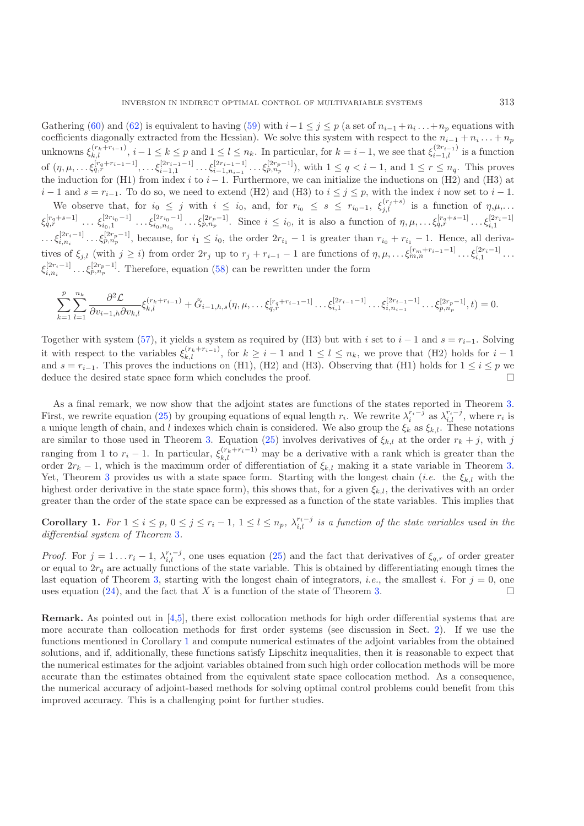Gathering [\(60\)](#page-18-2) and [\(62\)](#page-18-3) is equivalent to having [\(59\)](#page-18-0) with  $i-1 \leq j \leq p$  (a set of  $n_{i-1}+n_i...+n_p$  equations with coefficients diagonally extracted from the Hessian). We solve this system with respect to the  $n_{i-1}+n_{i-1}$ coefficients diagonally extracted from the Hessian). We solve this system with respect to the  $n_{i-1} + n_i \dots + n_p$ unknowns  $\xi_{k,l}^{(r_k+r_{i-1})}$ ,  $i-1 \le k \le p$  and  $1 \le l \le n_k$ . In particular, for  $k = i-1$ , we see that  $\xi_{i-1,l}^{(2r_{i-1})}$  is a function of  $(\eta, \mu, \ldots, \xi_{q,r}^{[r_q+r_{i-1}-1]}, \ldots, \xi_{i-1,1}^{[2r_{i-1}-1]} \ldots, \xi_{i-1,n_{i-1}}^{[2r_{i-1}-1]} \ldots, \xi_{p,n_p}^{[2r_p-1]}),$  with  $1 \le q < i-1$ , and  $1 \le r \le n_q$ . This proves the induction for (H1) from index i to i − 1. Furthermore, we can initialize the inductions on (H2) and (H3) at  $i - 1$  and  $s = r$ . To do so we need to extend (H2) and (H3) to  $i \le i \le n$  with the index i now set to  $i - 1$  $i-1$  and  $s = r_{i-1}$ . To do so, we need to extend (H2) and (H3) to  $i \leq j \leq p$ , with the index i now set to  $i-1$ . We observe that, for  $i_0 \leq j$  with  $i \leq i_0$ , and, for  $r_{i_0} \leq s \leq r_{i_0-1}$ ,  $\xi_{j,l}^{(r_j+s)}$  is a function of  $\eta, \mu, \ldots$  $\xi_{q,r}^{[r_q+s-1]}$   $\ldots$   $\xi_{i_0,1}^{[2r_{i_0}-1]}$   $\ldots$   $\xi_{i_0,n_{i_0}}^{[2r_{i_0}-1]}$   $\ldots$   $\xi_{p,n_p}^{[r_p+1]}$ . Since  $i \leq i_0$ , it is also a function of  $\eta, \mu, \ldots$   $\xi_{q,r}^{[r_q+s-1]}$   $\ldots$   $\xi_{i,1}^{[2r_i-1]}$  $\ldots, \xi_{i,n_i}^{[2r_i-1]} \ldots, \xi_{p,n_p}^{[2r_p-1]}$ , because, for  $i_1 \leq i_0$ , the order  $2r_{i_1} - 1$  is greater than  $r_{i_0} + r_{i_1} - 1$ . Hence, all derivatives of  $\xi_{j,l}$  (with  $j \geq i$ ) from order  $2r_j$  up to  $r_j + r_{i-1} - 1$  are functions of  $\eta, \mu, \ldots, \xi_{m,n}^{[r_m+r_{i-1}-1]} \ldots, \xi_{i,1}^{[2r_i-1]} \ldots$ ξ  $[2r_i-1]$  ... $\xi_{p,n_p}^{[2r_p-1]}$ . Therefore, equation [\(58\)](#page-18-4) can be rewritten under the form

$$
\sum_{k=1}^{p} \sum_{l=1}^{n_k} \frac{\partial^2 \mathcal{L}}{\partial v_{i-1,h} \partial v_{k,l}} \xi_{k,l}^{(r_k+r_{i-1})} + \tilde{G}_{i-1,h,s}(\eta, \mu, \dots, \xi_{q,r}^{[r_q+r_{i-1}-1]} \dots \xi_{i,1}^{[2r_{i-1}-1]} \dots \xi_{i,n_{i-1}}^{[2r_{i-1}-1]} \dots \xi_{p,n_p}^{[2r_p-1]}; t) = 0.
$$

Together with system [\(57\)](#page-17-1), it yields a system as required by (H3) but with i set to  $i - 1$  and  $s = r_{i-1}$ . Solving it with respect to the variables  $\xi_{k,l}^{(r_k+r_{i-1})}$ , for  $k \geq i-1$  and  $1 \leq l \leq n_k$ , we prove that (H2) holds for  $i-1$ <br>and  $e=r_{k+1}$ . This proves the inductions on (H1) (H2) and (H2). Observing that (H1) holds for  $1 \leq$ and  $s = r_{i-1}$ . This proves the inductions on (H1), (H2) and (H3). Observing that (H1) holds for  $1 \le i \le p$  we deduce the desired state space form which concludes the proof deduce the desired state space form which concludes the proof.

As a final remark, we now show that the adjoint states are functions of the states reported in Theorem [3.](#page-17-0) First, we rewrite equation [\(25\)](#page-10-4) by grouping equations of equal length  $r_i$ . We rewrite  $\lambda_i^{r_i-j}$  as  $\lambda_{i,l}^{r_i-j}$ , where  $r_i$  is a unique length of chain and *l* indexes which chain is considered. We also group the  $\xi_i$ a unique length of chain, and l indexes which chain is considered. We also group the  $\xi_k$  as  $\xi_{k,l}$ . These notations<br>are similar to those used in Theorem 3. Fountion (25) involves derivatives of  $\xi_{k,l}$  at the order are similar to those used in Theorem [3.](#page-17-0) Equation [\(25\)](#page-10-4) involves derivatives of  $\xi_{k,l}$  at the order  $r_k + j$ , with j ranging from 1 to  $r_i - 1$ . In particular,  $\xi_{k,l}^{(r_k+r_i-1)}$  may be a derivative with a rank which is greater than the order  $2r_i - 1$  which is the maximum order of differentiation of  $\xi_k$ , making it a state variable in Th order  $2r_k - 1$ , which is the maximum order of differentiation of  $\xi_{k,l}$  making it a state variable in Theorem [3.](#page-17-0) Yet, Theorem [3](#page-17-0) provides us with a state space form. Starting with the longest chain (*i.e.* the  $\xi_{k,l}$  with the highest order derivative in the state space form), this shows that, for a given  $\xi_{k,l}$ , the derivatives with an order greater than the order of the state space can be expressed as a function of the state variables. This implies that

<span id="page-19-0"></span>**Corollary 1.** For  $1 \leq i \leq p$ ,  $0 \leq j \leq r_i - 1$ ,  $1 \leq l \leq n_p$ ,  $\lambda_{i,l}^{r_i-j}$  is a function of the state variables used in the differential system of Theorem 3 *differential system of Theorem* [3](#page-17-0)*.*

*Proof.* For  $j = 1 \dots r_i - 1$ ,  $\lambda_{i,l}^{r_i-j}$ , one uses equation [\(25\)](#page-10-4) and the fact that derivatives of  $\xi_{q,r}$  of order greater or equal to  $2r$ , are actually functions of the state variable. This is obtained by differentiat or equal to  $2r_q$  are actually functions of the state variable. This is obtained by differentiating enough times the last equation of Theorem [3,](#page-17-0) starting with the longest chain of integrators, *i.e.*, the smallest *i*. For  $j = 0$ , one uses equation  $(24)$ , and the fact that X is a function of the state of Theorem [3.](#page-17-0)  $\Box$ 

**Remark.** As pointed out in [\[4](#page-22-18)[,5\]](#page-22-13), there exist collocation methods for high order differential systems that are more accurate than collocation methods for first order systems (see discussion in Sect. [2\)](#page-2-0). If we use the functions mentioned in Corollary [1](#page-19-0) and compute numerical estimates of the adjoint variables from the obtained solutions, and if, additionally, these functions satisfy Lipschitz inequalities, then it is reasonable to expect that the numerical estimates for the adjoint variables obtained from such high order collocation methods will be more accurate than the estimates obtained from the equivalent state space collocation method. As a consequence, the numerical accuracy of adjoint-based methods for solving optimal control problems could benefit from this improved accuracy. This is a challenging point for further studies.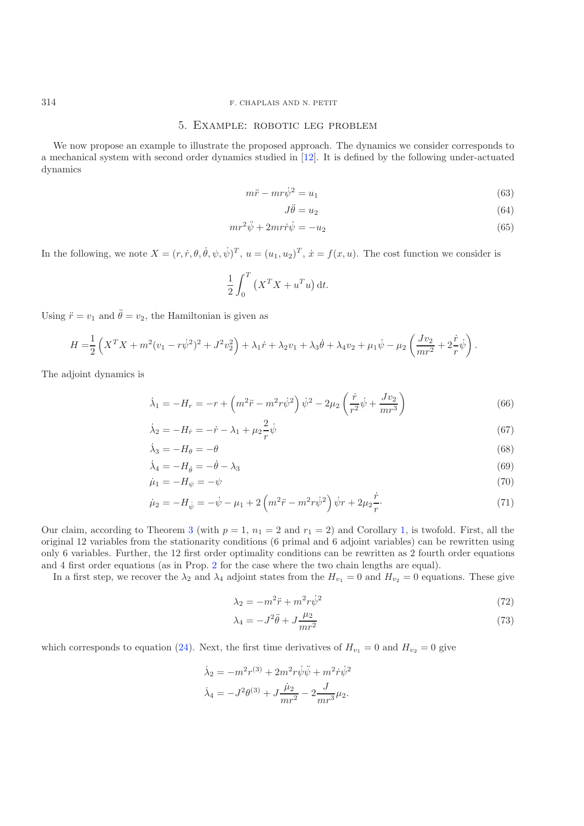# <span id="page-20-0"></span>314 F. CHAPLAIS AND N. PETIT

### 5. Example: robotic leg problem

We now propose an example to illustrate the proposed approach. The dynamics we consider corresponds to a mechanical system with second order dynamics studied in [\[12\]](#page-22-19). It is defined by the following under-actuated dynamics

$$
m\ddot{r} - m r \dot{\psi}^2 = u_1 \tag{63}
$$

<span id="page-20-4"></span><span id="page-20-3"></span><span id="page-20-2"></span><span id="page-20-1"></span>
$$
J\ddot{\theta} = u_2 \tag{64}
$$

$$
mr^2\ddot{\psi} + 2mr\dot{r}\dot{\psi} = -u_2\tag{65}
$$

In the following, we note  $X = (r, \dot{r}, \theta, \dot{\theta}, \psi, \dot{\psi})^T$ ,  $u = (u_1, u_2)^T$ ,  $\dot{x} = f(x, u)$ . The cost function we consider is

$$
\frac{1}{2} \int_0^T \left( X^T X + u^T u \right) \mathrm{d}t.
$$

Using  $\ddot{r} = v_1$  and  $\ddot{\theta} = v_2$ , the Hamiltonian is given as

$$
H = \frac{1}{2} \left( X^T X + m^2 (v_1 - r\dot{\psi}^2)^2 + J^2 v_2^2 \right) + \lambda_1 \dot{r} + \lambda_2 v_1 + \lambda_3 \dot{\theta} + \lambda_4 v_2 + \mu_1 \dot{\psi} - \mu_2 \left( \frac{J v_2}{m r^2} + 2 \frac{\dot{r}}{r} \dot{\psi} \right).
$$

The adjoint dynamics is

$$
\dot{\lambda}_1 = -H_r = -r + \left(m^2 \ddot{r} - m^2 r \dot{\psi}^2\right) \dot{\psi}^2 - 2\mu_2 \left(\frac{\dot{r}}{r^2} \dot{\psi} + \frac{Jv_2}{mr^3}\right) \tag{66}
$$

$$
\dot{\lambda}_2 = -H_{\dot{r}} = -\dot{r} - \lambda_1 + \mu_2 \frac{2}{r} \dot{\psi} \tag{67}
$$

$$
\dot{\lambda}_3 = -H_\theta = -\theta \tag{68}
$$

$$
\dot{\lambda}_4 = -H_{\dot{\theta}} = -\dot{\theta} - \lambda_3\tag{69}
$$

$$
\dot{\mu}_1 = -H_{\psi} = -\psi \tag{70}
$$

$$
\dot{\mu}_2 = -H_{\dot{\psi}} = -\dot{\psi} - \mu_1 + 2\left(m^2\ddot{r} - m^2r\dot{\psi}^2\right)\dot{\psi}r + 2\mu_2\frac{\dot{r}}{r}.\tag{71}
$$

Our claim, according to Theorem [3](#page-17-0) (with  $p = 1$ ,  $n_1 = 2$  and  $r_1 = 2$ ) and Corollary [1,](#page-19-0) is twofold. First, all the original 12 variables from the stationarity conditions (6 primal and 6 adjoint variables) can be rewritten using only 6 variables. Further, the 12 first order optimality conditions can be rewritten as 2 fourth order equations and 4 first order equations (as in Prop. [2](#page-14-0) for the case where the two chain lengths are equal).

In a first step, we recover the  $\lambda_2$  and  $\lambda_4$  adjoint states from the  $H_{v_1} = 0$  and  $H_{v_2} = 0$  equations. These give

$$
\lambda_2 = -m^2 \ddot{r} + m^2 r \dot{\psi}^2 \tag{72}
$$

$$
\lambda_4 = -J^2 \ddot{\theta} + J \frac{\mu_2}{mr^2} \tag{73}
$$

which corresponds to equation [\(24\)](#page-10-1). Next, the first time derivatives of  $H_{v_1} = 0$  and  $H_{v_2} = 0$  give

$$
\dot{\lambda}_2 = -m^2 r^{(3)} + 2m^2 r \dot{\psi} \ddot{\psi} + m^2 \dot{r} \dot{\psi}^2
$$

$$
\dot{\lambda}_4 = -J^2 \theta^{(3)} + J \frac{\dot{\mu}_2}{mr^2} - 2 \frac{J}{mr^3} \mu_2.
$$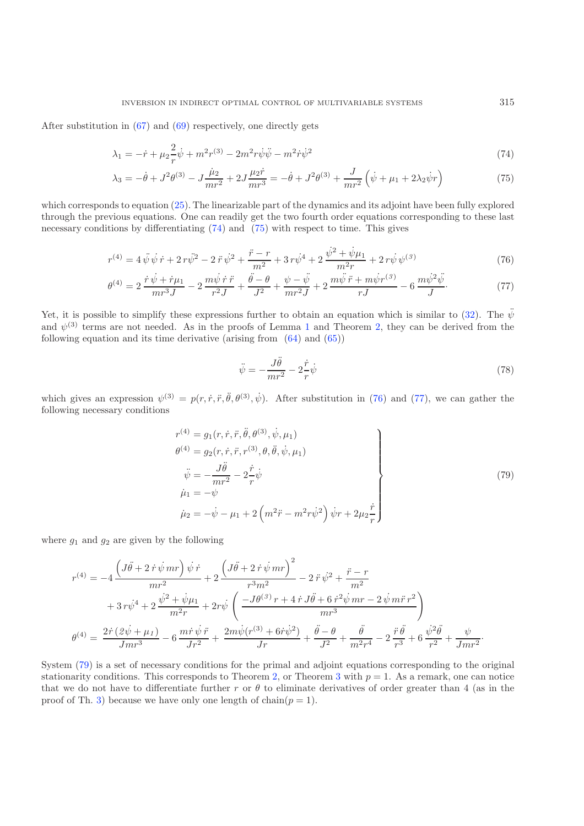After substitution in [\(67\)](#page-20-1) and [\(69\)](#page-20-2) respectively, one directly gets

<span id="page-21-1"></span><span id="page-21-0"></span>
$$
\lambda_1 = -\dot{r} + \mu_2 \frac{2}{r} \dot{\psi} + m^2 r^{(3)} - 2m^2 r \dot{\psi} \ddot{\psi} - m^2 \dot{r} \dot{\psi}^2 \tag{74}
$$

$$
\lambda_3 = -\dot{\theta} + J^2 \theta^{(3)} - J \frac{\dot{\mu}_2}{mr^2} + 2J \frac{\mu_2 \dot{r}}{mr^3} = -\dot{\theta} + J^2 \theta^{(3)} + \frac{J}{mr^2} \left( \dot{\psi} + \mu_1 + 2\lambda_2 \dot{\psi} r \right)
$$
(75)

which corresponds to equation [\(25\)](#page-10-4). The linearizable part of the dynamics and its adjoint have been fully explored through the previous equations. One can readily get the two fourth order equations corresponding to these last necessary conditions by differentiating [\(74\)](#page-21-0) and [\(75\)](#page-21-1) with respect to time. This gives

$$
r^{(4)} = 4\,\ddot{\psi}\,\dot{\psi}\,\dot{r} + 2\,r\dot{\psi}^2 - 2\,\ddot{r}\,\dot{\psi}^2 + \frac{\ddot{r} - r}{m^2} + 3\,r\dot{\psi}^4 + 2\,\frac{\dot{\psi}^2 + \dot{\psi}\mu_1}{m^2r} + 2\,r\dot{\psi}\,\psi^{(3)}\tag{76}
$$

<span id="page-21-4"></span>
$$
\theta^{(4)} = 2 \frac{\dot{r} \dot{\psi} + \dot{r} \mu_1}{mr^3 J} - 2 \frac{m \dot{\psi} \dot{r} \ddot{r}}{r^2 J} + \frac{\ddot{\theta} - \theta}{J^2} + \frac{\psi - \ddot{\psi}}{mr^2 J} + 2 \frac{m \ddot{\psi} \ddot{r} + m \dot{\psi} r^{(3)}}{r J} - 6 \frac{m \dot{\psi}^2 \ddot{\psi}}{J}.
$$
 (77)

Yet, it is possible to simplify these expressions further to obtain an equation which is similar to [\(32\)](#page-12-3). The  $\ddot{\psi}$ and  $\psi^{(3)}$  terms are not needed. As in the proofs of Lemma [1](#page-10-6) and Theorem [2,](#page-11-0) they can be derived from the following equation and its time derivative (arising from [\(64\)](#page-20-3) and [\(65\)](#page-20-4))

<span id="page-21-3"></span><span id="page-21-2"></span>
$$
\ddot{\psi} = -\frac{J\ddot{\theta}}{mr^2} - 2\frac{\dot{r}}{r}\dot{\psi}
$$
\n(78)

which gives an expression  $\psi^{(3)} = p(r, \dot{r}, \ddot{r}, \ddot{\theta}, \theta^{(3)}, \dot{\psi})$ . After substitution in [\(76\)](#page-21-2) and [\(77\)](#page-21-3), we can gather the following necessary conditions

$$
r^{(4)} = g_1(r, \dot{r}, \ddot{r}, \ddot{\theta}, \theta^{(3)}, \dot{\psi}, \mu_1)
$$
  
\n
$$
\theta^{(4)} = g_2(r, \dot{r}, \ddot{r}, r^{(3)}, \theta, \ddot{\theta}, \dot{\psi}, \mu_1)
$$
  
\n
$$
\ddot{\psi} = -\frac{J\ddot{\theta}}{mr^2} - 2\frac{\dot{r}}{r}\dot{\psi}
$$
  
\n
$$
\dot{\mu}_1 = -\psi
$$
  
\n
$$
\dot{\mu}_2 = -\dot{\psi} - \mu_1 + 2\left(m^2\ddot{r} - m^2r\dot{\psi}^2\right)\dot{\psi}r + 2\mu_2\frac{\dot{r}}{r}
$$
\n(79)

where  $g_1$  and  $g_2$  are given by the following

$$
r^{(4)} = -4 \frac{\left(J\ddot{\theta} + 2 \dot{r} \dot{\psi} m r\right) \dot{\psi} \dot{r}}{mr^2} + 2 \frac{\left(J\ddot{\theta} + 2 \dot{r} \dot{\psi} m r\right)^2}{r^3 m^2} - 2 \ddot{r} \dot{\psi}^2 + \frac{\ddot{r} - r}{m^2} + 3 r \dot{\psi}^4 + 2 \frac{\dot{\psi}^2 + \dot{\psi} \mu_1}{m^2 r} + 2 r \dot{\psi} \left(\frac{-J\theta^{(3)} r + 4 \dot{r} J\ddot{\theta} + 6 \dot{r}^2 \dot{\psi} m r - 2 \dot{\psi} m \ddot{r} r^2}{mr^3}\right) \theta^{(4)} = \frac{2 \dot{r} (2 \dot{\psi} + \mu_1)}{Jmr^3} - 6 \frac{m \dot{r} \dot{\psi} \ddot{r}}{Jr^2} + \frac{2 m \dot{\psi} (r^{(3)} + 6 \dot{r} \dot{\psi}^2)}{Jr} + \frac{\ddot{\theta} - \theta}{J^2} + \frac{\ddot{\theta}}{m^2 r^4} - 2 \frac{\ddot{r} \ddot{\theta}}{r^3} + 6 \frac{\dot{\psi}^2 \ddot{\theta}}{r^2} + \frac{\psi}{Jmr^2}.
$$

System [\(79\)](#page-21-4) is a set of necessary conditions for the primal and adjoint equations corresponding to the original stationarity conditions. This corresponds to Theorem [2,](#page-11-0) or Theorem [3](#page-17-0) with  $p = 1$ . As a remark, one can notice that we do not have to differentiate further r or  $\theta$  to eliminate derivatives of order greater than 4 (as in the proof of Th. [3\)](#page-17-0) because we have only one length of chain( $p = 1$ ).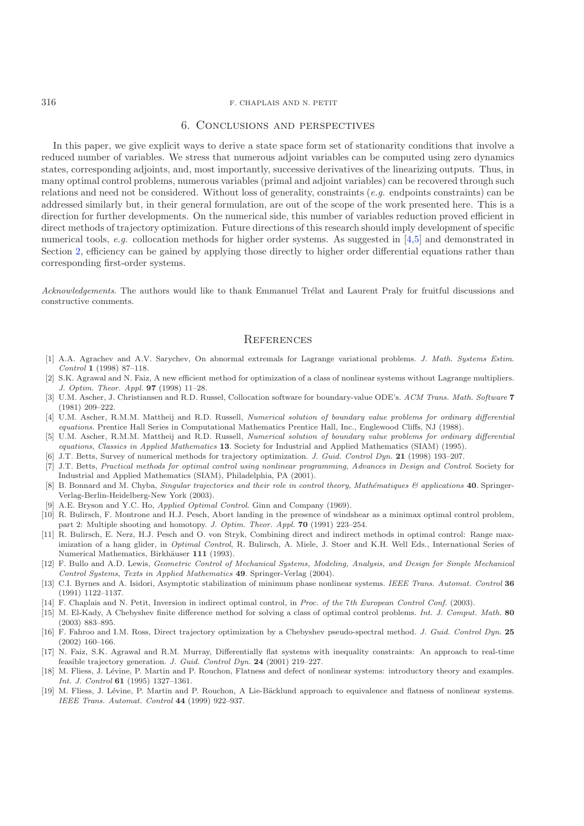## <span id="page-22-11"></span>316 F. CHAPLAIS AND N. PETIT

### 6. Conclusions and perspectives

In this paper, we give explicit ways to derive a state space form set of stationarity conditions that involve a reduced number of variables. We stress that numerous adjoint variables can be computed using zero dynamics states, corresponding adjoints, and, most importantly, successive derivatives of the linearizing outputs. Thus, in many optimal control problems, numerous variables (primal and adjoint variables) can be recovered through such relations and need not be considered. Without loss of generality, constraints (*e.g.* endpoints constraints) can be addressed similarly but, in their general formulation, are out of the scope of the work presented here. This is a direction for further developments. On the numerical side, this number of variables reduction proved efficient in direct methods of trajectory optimization. Future directions of this research should imply development of specific numerical tools, *e.g.* collocation methods for higher order systems. As suggested in [\[4](#page-22-18)[,5](#page-22-13)] and demonstrated in Section [2,](#page-2-0) efficiency can be gained by applying those directly to higher order differential equations rather than corresponding first-order systems.

*Acknowledgements*. The authors would like to thank Emmanuel Trélat and Laurent Praly for fruitful discussions and constructive comments.

## **REFERENCES**

- <span id="page-22-17"></span>[1] A.A. Agrachev and A.V. Sarychev, On abnormal extremals for Lagrange variational problems. J. Math. Systems Estim. Control **1** (1998) 87–118.
- <span id="page-22-5"></span>[2] S.K. Agrawal and N. Faiz, A new efficient method for optimization of a class of nonlinear systems without Lagrange multipliers. J. Optim. Theor. Appl. **97** (1998) 11–28.
- <span id="page-22-14"></span>[3] U.M. Ascher, J. Christiansen and R.D. Russel, Collocation software for boundary-value ODE's. ACM Trans. Math. Software **7** (1981) 209–222.
- <span id="page-22-18"></span>[4] U.M. Ascher, R.M.M. Mattheij and R.D. Russell, Numerical solution of boundary value problems for ordinary differential equations. Prentice Hall Series in Computational Mathematics Prentice Hall, Inc., Englewood Cliffs, NJ (1988).
- <span id="page-22-13"></span>[5] U.M. Ascher, R.M.M. Mattheij and R.D. Russell, Numerical solution of boundary value problems for ordinary differential equations, Classics in Applied Mathematics **13**. Society for Industrial and Applied Mathematics (SIAM) (1995).
- <span id="page-22-0"></span>[6] J.T. Betts, Survey of numerical methods for trajectory optimization. J. Guid. Control Dyn. **21** (1998) 193–207.
- <span id="page-22-1"></span>[7] J.T. Betts, Practical methods for optimal control using nonlinear programming, Advances in Design and Control. Society for Industrial and Applied Mathematics (SIAM), Philadelphia, PA (2001).
- <span id="page-22-16"></span>[8] B. Bonnard and M. Chyba, Singular trajectories and their role in control theory, Mathématiques & applications **40**. Springer-Verlag-Berlin-Heidelberg-New York (2003).
- [9] A.E. Bryson and Y.C. Ho, Applied Optimal Control. Ginn and Company (1969).
- <span id="page-22-12"></span><span id="page-22-10"></span>[10] R. Bulirsch, F. Montrone and H.J. Pesch, Abort landing in the presence of windshear as a minimax optimal control problem, part 2: Multiple shooting and homotopy. J. Optim. Theor. Appl. **70** (1991) 223–254.
- <span id="page-22-2"></span>[11] R. Bulirsch, E. Nerz, H.J. Pesch and O. von Stryk, Combining direct and indirect methods in optimal control: Range maximization of a hang glider, in *Optimal Control*, R. Bulirsch, A. Miele, J. Stoer and K.H. Well Eds., International Series of Numerical Mathematics, Birkhäuser 111 (1993).
- <span id="page-22-19"></span>[12] F. Bullo and A.D. Lewis, Geometric Control of Mechanical Systems, Modeling, Analysis, and Design for Simple Mechanical Control Systems, Texts in Applied Mathematics **49**. Springer-Verlag (2004).
- <span id="page-22-15"></span>[13] C.I. Byrnes and A. Isidori, Asymptotic stabilization of minimum phase nonlinear systems. IEEE Trans. Automat. Control **36** (1991) 1122–1137.
- [14] F. Chaplais and N. Petit, Inversion in indirect optimal control, in Proc. of the 7th European Control Conf. (2003).
- <span id="page-22-9"></span><span id="page-22-3"></span>[15] M. El-Kady, A Chebyshev finite difference method for solving a class of optimal control problems. Int. J. Comput. Math. **80** (2003) 883–895.
- <span id="page-22-4"></span>[16] F. Fahroo and I.M. Ross, Direct trajectory optimization by a Chebyshev pseudo-spectral method. J. Guid. Control Dyn. **25** (2002) 160–166.
- <span id="page-22-8"></span>[17] N. Faiz, S.K. Agrawal and R.M. Murray, Differentially flat systems with inequality constraints: An approach to real-time feasible trajectory generation. J. Guid. Control Dyn. **24** (2001) 219–227.
- <span id="page-22-6"></span>[18] M. Fliess, J. Lévine, P. Martin and P. Rouchon, Flatness and defect of nonlinear systems: introductory theory and examples. Int. J. Control **61** (1995) 1327–1361.
- <span id="page-22-7"></span>[19] M. Fliess, J. Lévine, P. Martin and P. Rouchon, A Lie-Bäcklund approach to equivalence and flatness of nonlinear systems. IEEE Trans. Automat. Control **44** (1999) 922–937.